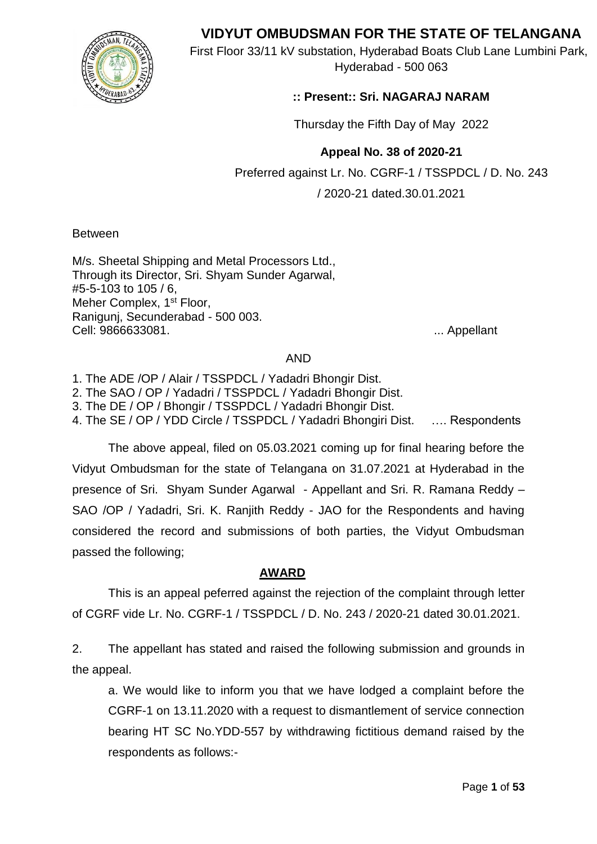

# **VIDYUT OMBUDSMAN FOR THE STATE OF TELANGANA**

 First Floor 33/11 kV substation, Hyderabad Boats Club Lane Lumbini Park, Hyderabad - 500 063

## **:: Present:: Sri. NAGARAJ NARAM**

Thursday the Fifth Day of May 2022

## **Appeal No. 38 of 2020-21**

Preferred against Lr. No. CGRF-1 / TSSPDCL / D. No. 243

/ 2020-21 dated.30.01.2021

**Between** 

M/s. Sheetal Shipping and Metal Processors Ltd., Through its Director, Sri. Shyam Sunder Agarwal, #5-5-103 to 105 / 6, Meher Complex, 1<sup>st</sup> Floor, Ranigunj, Secunderabad - 500 003. Cell: 9866633081. ... Appellant

### AND

1. The ADE /OP / Alair / TSSPDCL / Yadadri Bhongir Dist.

2. The SAO / OP / Yadadri / TSSPDCL / Yadadri Bhongir Dist.

3. The DE / OP / Bhongir / TSSPDCL / Yadadri Bhongir Dist.

4. The SE / OP / YDD Circle / TSSPDCL / Yadadri Bhongiri Dist. …. Respondents

The above appeal, filed on 05.03.2021 coming up for final hearing before the Vidyut Ombudsman for the state of Telangana on 31.07.2021 at Hyderabad in the presence of Sri. Shyam Sunder Agarwal - Appellant and Sri. R. Ramana Reddy – SAO /OP / Yadadri, Sri. K. Ranjith Reddy - JAO for the Respondents and having considered the record and submissions of both parties, the Vidyut Ombudsman passed the following;

### **AWARD**

This is an appeal peferred against the rejection of the complaint through letter of CGRF vide Lr. No. CGRF-1 / TSSPDCL / D. No. 243 / 2020-21 dated 30.01.2021.

2. The appellant has stated and raised the following submission and grounds in the appeal.

a. We would like to inform you that we have lodged a complaint before the CGRF-1 on 13.11.2020 with a request to dismantlement of service connection bearing HT SC No.YDD-557 by withdrawing fictitious demand raised by the respondents as follows:-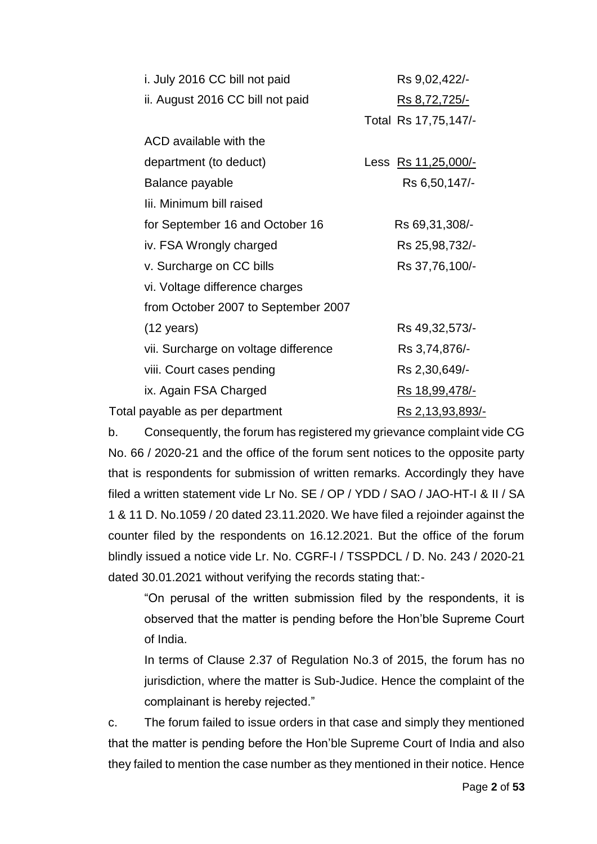| i. July 2016 CC bill not paid        | Rs 9,02,422/-           |
|--------------------------------------|-------------------------|
| ii. August 2016 CC bill not paid     | <u>Rs 8,72,725/-</u>    |
|                                      | Total Rs 17,75,147/-    |
| ACD available with the               |                         |
| department (to deduct)               | Less Rs 11,25,000/-     |
| Balance payable                      | Rs 6,50,147/-           |
| lii. Minimum bill raised             |                         |
| for September 16 and October 16      | Rs 69, 31, 308/-        |
| iv. FSA Wrongly charged              | Rs 25,98,732/-          |
| v. Surcharge on CC bills             | Rs 37,76,100/-          |
| vi. Voltage difference charges       |                         |
| from October 2007 to September 2007  |                         |
| $(12 \text{ years})$                 | Rs 49,32,573/-          |
| vii. Surcharge on voltage difference | Rs 3,74,876/-           |
| viii. Court cases pending            | Rs 2,30,649/-           |
| ix. Again FSA Charged                | <u>Rs 18,99,478/-</u>   |
| Total payable as per department      | <u>Rs 2,13,93,893/-</u> |

b. Consequently, the forum has registered my grievance complaint vide CG No. 66 / 2020-21 and the office of the forum sent notices to the opposite party that is respondents for submission of written remarks. Accordingly they have filed a written statement vide Lr No. SE / OP / YDD / SAO / JAO-HT-I & II / SA 1 & 11 D. No.1059 / 20 dated 23.11.2020. We have filed a rejoinder against the counter filed by the respondents on 16.12.2021. But the office of the forum blindly issued a notice vide Lr. No. CGRF-I / TSSPDCL / D. No. 243 / 2020-21 dated 30.01.2021 without verifying the records stating that:-

"On perusal of the written submission filed by the respondents, it is observed that the matter is pending before the Hon'ble Supreme Court of India.

In terms of Clause 2.37 of Regulation No.3 of 2015, the forum has no jurisdiction, where the matter is Sub-Judice. Hence the complaint of the complainant is hereby rejected."

c. The forum failed to issue orders in that case and simply they mentioned that the matter is pending before the Hon'ble Supreme Court of India and also they failed to mention the case number as they mentioned in their notice. Hence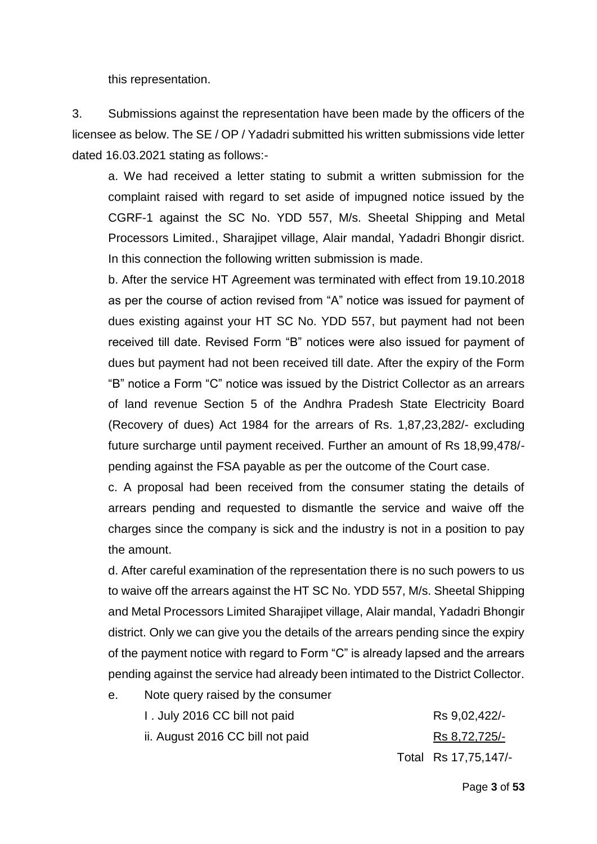this representation.

3. Submissions against the representation have been made by the officers of the licensee as below. The SE / OP / Yadadri submitted his written submissions vide letter dated 16.03.2021 stating as follows:-

a. We had received a letter stating to submit a written submission for the complaint raised with regard to set aside of impugned notice issued by the CGRF-1 against the SC No. YDD 557, M/s. Sheetal Shipping and Metal Processors Limited., Sharajipet village, Alair mandal, Yadadri Bhongir disrict. In this connection the following written submission is made.

b. After the service HT Agreement was terminated with effect from 19.10.2018 as per the course of action revised from "A" notice was issued for payment of dues existing against your HT SC No. YDD 557, but payment had not been received till date. Revised Form "B" notices were also issued for payment of dues but payment had not been received till date. After the expiry of the Form "B" notice a Form "C" notice was issued by the District Collector as an arrears of land revenue Section 5 of the Andhra Pradesh State Electricity Board (Recovery of dues) Act 1984 for the arrears of Rs. 1,87,23,282/- excluding future surcharge until payment received. Further an amount of Rs 18,99,478/ pending against the FSA payable as per the outcome of the Court case.

c. A proposal had been received from the consumer stating the details of arrears pending and requested to dismantle the service and waive off the charges since the company is sick and the industry is not in a position to pay the amount.

d. After careful examination of the representation there is no such powers to us to waive off the arrears against the HT SC No. YDD 557, M/s. Sheetal Shipping and Metal Processors Limited Sharajipet village, Alair mandal, Yadadri Bhongir district. Only we can give you the details of the arrears pending since the expiry of the payment notice with regard to Form "C" is already lapsed and the arrears pending against the service had already been intimated to the District Collector.

- e. Note query raised by the consumer
	- I . July 2016 CC bill not paid Rs 9,02,422/ii. August 2016 CC bill not paid  $\overline{R}$  Rs 8,72,725/-Total Rs 17,75,147/-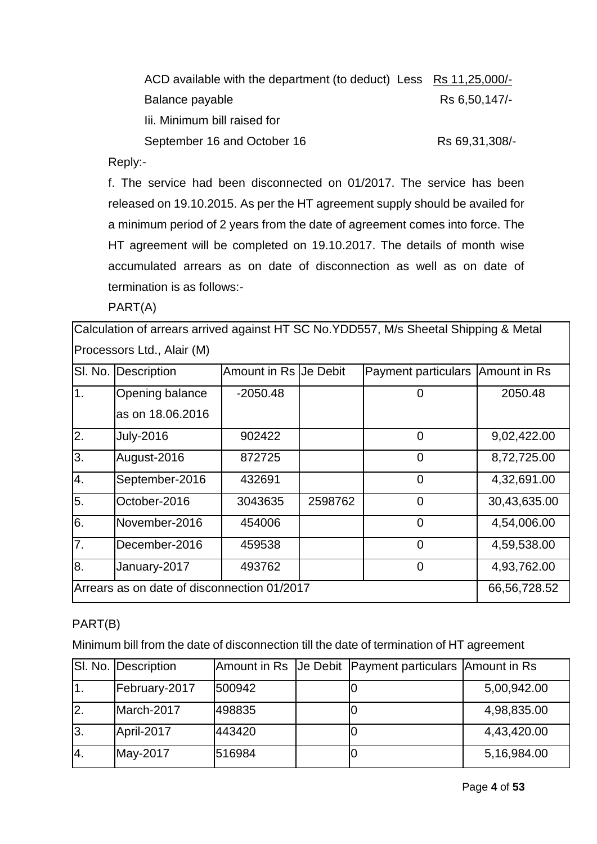| ACD available with the department (to deduct) Less Rs 11,25,000/- |                  |
|-------------------------------------------------------------------|------------------|
| Balance payable                                                   | Rs 6,50,147/-    |
| lii. Minimum bill raised for                                      |                  |
| September 16 and October 16                                       | Rs 69, 31, 308/- |

Reply:-

f. The service had been disconnected on 01/2017. The service has been released on 19.10.2015. As per the HT agreement supply should be availed for a minimum period of 2 years from the date of agreement comes into force. The HT agreement will be completed on 19.10.2017. The details of month wise accumulated arrears as on date of disconnection as well as on date of termination is as follows:-

PART(A)

Calculation of arrears arrived against HT SC No.YDD557, M/s Sheetal Shipping & Metal Processors Ltd., Alair (M)

|                                             | SI. No. Description | Amount in Rs Ue Debit |         | Payment particulars | Amount in Rs |
|---------------------------------------------|---------------------|-----------------------|---------|---------------------|--------------|
| $\overline{1}$ .                            | Opening balance     | $-2050.48$            |         | 0                   | 2050.48      |
|                                             | as on 18.06.2016    |                       |         |                     |              |
| $\overline{2}$ .                            | <b>July-2016</b>    | 902422                |         | $\mathbf 0$         | 9,02,422.00  |
| 3.                                          | August-2016         | 872725                |         | $\overline{0}$      | 8,72,725.00  |
| 4.                                          | September-2016      | 432691                |         | $\overline{0}$      | 4,32,691.00  |
| 5.                                          | October-2016        | 3043635               | 2598762 | $\overline{0}$      | 30,43,635.00 |
| 6.                                          | November-2016       | 454006                |         | $\overline{0}$      | 4,54,006.00  |
| 7.                                          | December-2016       | 459538                |         | $\overline{0}$      | 4,59,538.00  |
| 8.                                          | January-2017        | 493762                |         | $\overline{0}$      | 4,93,762.00  |
| Arrears as on date of disconnection 01/2017 | 66,56,728.52        |                       |         |                     |              |

## PART(B)

Minimum bill from the date of disconnection till the date of termination of HT agreement

|                  | SI. No. Description |        | Amount in Rs   Je Debit   Payment particulars   Amount in Rs |             |
|------------------|---------------------|--------|--------------------------------------------------------------|-------------|
| l1.              | February-2017       | 500942 |                                                              | 5,00,942.00 |
| $\overline{2}$ . | March-2017          | 498835 |                                                              | 4,98,835.00 |
| 3.               | April-2017          | 443420 |                                                              | 4,43,420.00 |
| 4.               | May-2017            | 516984 |                                                              | 5,16,984.00 |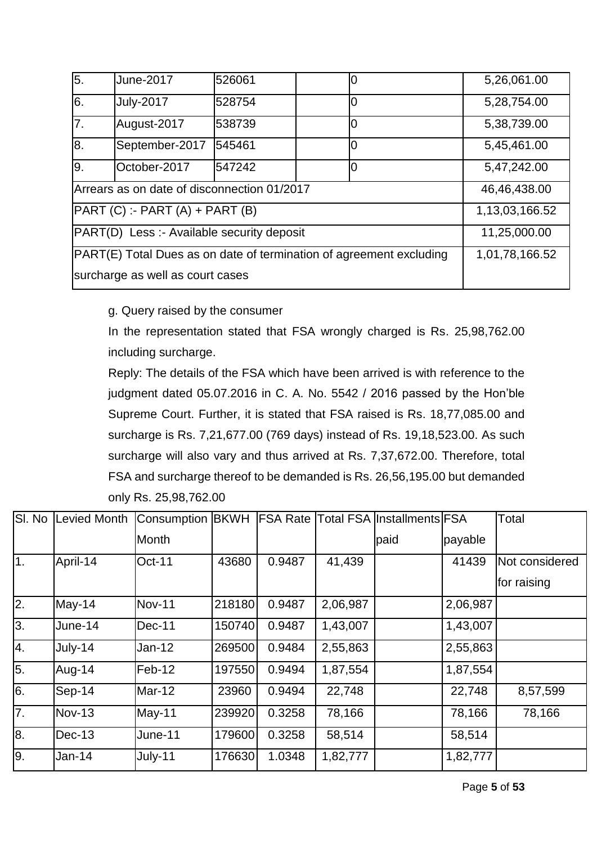| 5.                                                                  | <b>June-2017</b> | 526061 |  |   | 5,26,061.00    |
|---------------------------------------------------------------------|------------------|--------|--|---|----------------|
| 6.                                                                  | <b>July-2017</b> | 528754 |  | 0 | 5,28,754.00    |
| 7.                                                                  | August-2017      | 538739 |  | 0 | 5,38,739.00    |
| 8.                                                                  | September-2017   | 545461 |  | 0 | 5,45,461.00    |
| 19.                                                                 | October-2017     | 547242 |  | 0 | 5,47,242.00    |
| Arrears as on date of disconnection 01/2017                         | 46,46,438.00     |        |  |   |                |
| $\overline{PART (C)}$ :- PART (A) + PART (B)                        |                  |        |  |   | 1,13,03,166.52 |
| <b>PART(D)</b> Less :- Available security deposit                   |                  |        |  |   | 11,25,000.00   |
| PART(E) Total Dues as on date of termination of agreement excluding |                  |        |  |   | 1,01,78,166.52 |
| surcharge as well as court cases                                    |                  |        |  |   |                |

g. Query raised by the consumer

In the representation stated that FSA wrongly charged is Rs. 25,98,762.00 including surcharge.

Reply: The details of the FSA which have been arrived is with reference to the judgment dated 05.07.2016 in C. A. No. 5542 / 2016 passed by the Hon'ble Supreme Court. Further, it is stated that FSA raised is Rs. 18,77,085.00 and surcharge is Rs. 7,21,677.00 (769 days) instead of Rs. 19,18,523.00. As such surcharge will also vary and thus arrived at Rs. 7,37,672.00. Therefore, total FSA and surcharge thereof to be demanded is Rs. 26,56,195.00 but demanded only Rs. 25,98,762.00

|    | SI. No Levied Month | Consumption BKWH FSA Rate Total FSA Installments FSA |        |        |          |      |          | Total          |
|----|---------------------|------------------------------------------------------|--------|--------|----------|------|----------|----------------|
|    |                     | Month                                                |        |        |          | paid | payable  |                |
| 1. | April-14            | <b>Oct-11</b>                                        | 43680  | 0.9487 | 41,439   |      | 41439    | Not considered |
|    |                     |                                                      |        |        |          |      |          | for raising    |
| 2. | May-14              | <b>Nov-11</b>                                        | 218180 | 0.9487 | 2,06,987 |      | 2,06,987 |                |
| 3. | June-14             | Dec-11                                               | 150740 | 0.9487 | 1,43,007 |      | 1,43,007 |                |
| 4. | July-14             | Jan-12                                               | 269500 | 0.9484 | 2,55,863 |      | 2,55,863 |                |
| 5. | Aug-14              | Feb-12                                               | 197550 | 0.9494 | 1,87,554 |      | 1,87,554 |                |
| 6. | Sep-14              | Mar-12                                               | 23960  | 0.9494 | 22,748   |      | 22,748   | 8,57,599       |
| 7. | <b>Nov-13</b>       | May-11                                               | 239920 | 0.3258 | 78,166   |      | 78,166   | 78,166         |
| 8. | $Dec-13$            | June-11                                              | 179600 | 0.3258 | 58,514   |      | 58,514   |                |
| 9. | Jan-14              | July-11                                              | 176630 | 1.0348 | 1,82,777 |      | 1,82,777 |                |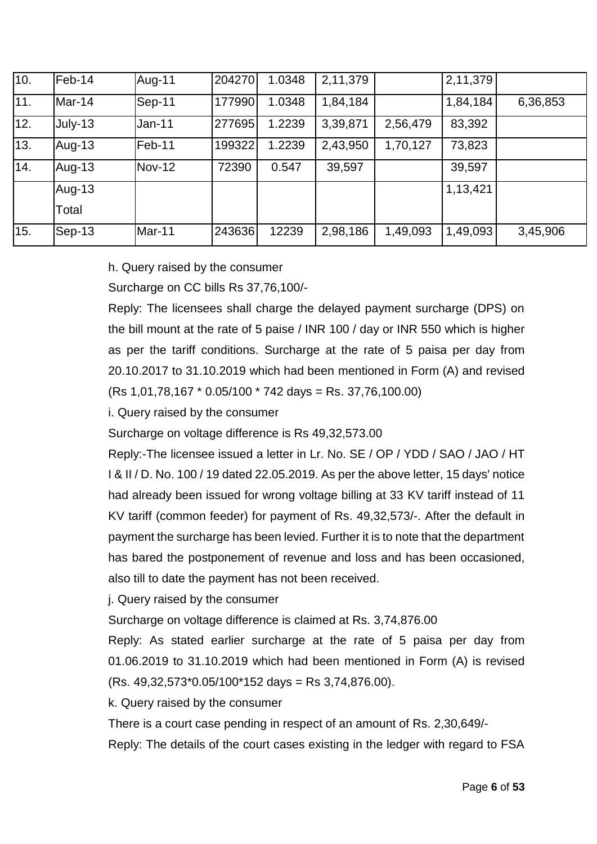| 10. | Feb-14   | Aug-11 | 204270 | 1.0348 | 2,11,379 |          | 2,11,379 |          |
|-----|----------|--------|--------|--------|----------|----------|----------|----------|
| 11. | $Mar-14$ | Sep-11 | 177990 | 1.0348 | 1,84,184 |          | 1,84,184 | 6,36,853 |
| 12. | July-13  | Jan-11 | 277695 | 1.2239 | 3,39,871 | 2,56,479 | 83,392   |          |
| 13. | Aug-13   | Feb-11 | 199322 | 1.2239 | 2,43,950 | 1,70,127 | 73,823   |          |
| 14. | Aug-13   | Nov-12 | 72390  | 0.547  | 39,597   |          | 39,597   |          |
|     | Aug-13   |        |        |        |          |          | 1,13,421 |          |
|     | Total    |        |        |        |          |          |          |          |
| 15. | Sep-13   | Mar-11 | 243636 | 12239  | 2,98,186 | 1,49,093 | 1,49,093 | 3,45,906 |

h. Query raised by the consumer

Surcharge on CC bills Rs 37,76,100/-

Reply: The licensees shall charge the delayed payment surcharge (DPS) on the bill mount at the rate of 5 paise / INR 100 / day or INR 550 which is higher as per the tariff conditions. Surcharge at the rate of 5 paisa per day from 20.10.2017 to 31.10.2019 which had been mentioned in Form (A) and revised (Rs 1,01,78,167 \* 0.05/100 \* 742 days = Rs. 37,76,100.00)

i. Query raised by the consumer

Surcharge on voltage difference is Rs 49,32,573.00

Reply:-The licensee issued a letter in Lr. No. SE / OP / YDD / SAO / JAO / HT I & II / D. No. 100 / 19 dated 22.05.2019. As per the above letter, 15 days' notice had already been issued for wrong voltage billing at 33 KV tariff instead of 11 KV tariff (common feeder) for payment of Rs. 49,32,573/-. After the default in payment the surcharge has been levied. Further it is to note that the department has bared the postponement of revenue and loss and has been occasioned, also till to date the payment has not been received.

j. Query raised by the consumer

Surcharge on voltage difference is claimed at Rs. 3,74,876.00

Reply: As stated earlier surcharge at the rate of 5 paisa per day from 01.06.2019 to 31.10.2019 which had been mentioned in Form (A) is revised (Rs. 49,32,573\*0.05/100\*152 days = Rs 3,74,876.00).

k. Query raised by the consumer

There is a court case pending in respect of an amount of Rs. 2,30,649/-

Reply: The details of the court cases existing in the ledger with regard to FSA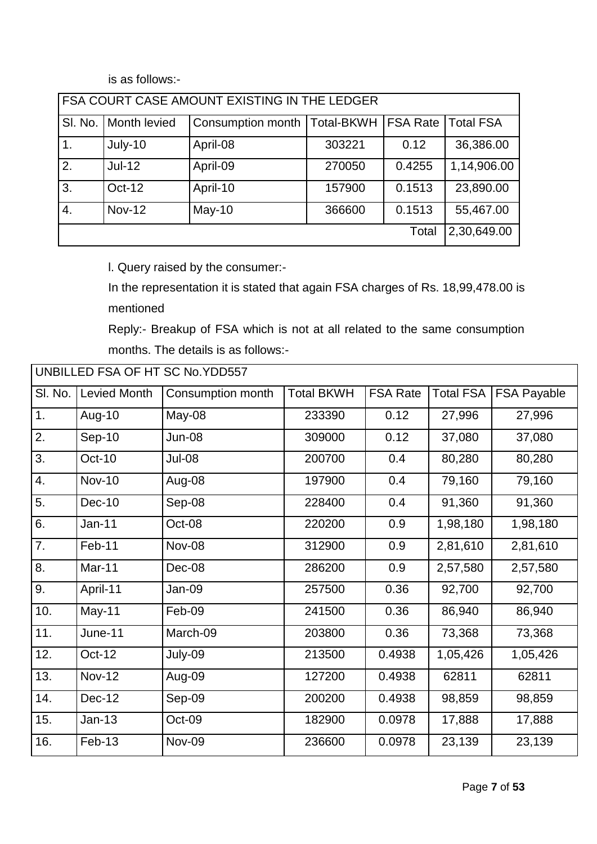is as follows:-

|    | FSA COURT CASE AMOUNT EXISTING IN THE LEDGER |                   |            |                 |                  |  |  |
|----|----------------------------------------------|-------------------|------------|-----------------|------------------|--|--|
|    | SI. No.   Month levied                       | Consumption month | Total-BKWH | <b>FSA Rate</b> | <b>Total FSA</b> |  |  |
| 1. | July-10                                      | April-08          | 303221     | 0.12            | 36,386.00        |  |  |
| 2. | <b>Jul-12</b>                                | April-09          | 270050     | 0.4255          | 1,14,906.00      |  |  |
| 3. | $Oct-12$                                     | April-10          | 157900     | 0.1513          | 23,890.00        |  |  |
| 4. | <b>Nov-12</b>                                | May-10            | 366600     | 0.1513          | 55,467.00        |  |  |
|    |                                              |                   |            | Total           | 2,30,649.00      |  |  |

l. Query raised by the consumer:-

In the representation it is stated that again FSA charges of Rs. 18,99,478.00 is mentioned

Reply:- Breakup of FSA which is not at all related to the same consumption months. The details is as follows:-

| UNBILLED FSA OF HT SC No.YDD557 |               |                   |                   |                 |                  |                    |  |
|---------------------------------|---------------|-------------------|-------------------|-----------------|------------------|--------------------|--|
| SI. No.                         | Levied Month  | Consumption month | <b>Total BKWH</b> | <b>FSA Rate</b> | <b>Total FSA</b> | <b>FSA Payable</b> |  |
| 1.                              | Aug-10        | May-08            | 233390            | 0.12            | 27,996           | 27,996             |  |
| 2.                              | $Sep-10$      | <b>Jun-08</b>     | 309000            | 0.12            | 37,080           | 37,080             |  |
| 3.                              | Oct-10        | <b>Jul-08</b>     | 200700            | 0.4             | 80,280           | 80,280             |  |
| 4.                              | <b>Nov-10</b> | Aug-08            | 197900            | 0.4             | 79,160           | 79,160             |  |
| 5.                              | <b>Dec-10</b> | Sep-08            | 228400            | 0.4             | 91,360           | 91,360             |  |
| 6.                              | <b>Jan-11</b> | Oct-08            | 220200            | 0.9             | 1,98,180         | 1,98,180           |  |
| 7.                              | Feb-11        | <b>Nov-08</b>     | 312900            | 0.9             | 2,81,610         | 2,81,610           |  |
| 8.                              | Mar-11        | Dec-08            | 286200            | 0.9             | 2,57,580         | 2,57,580           |  |
| 9.                              | April-11      | Jan-09            | 257500            | 0.36            | 92,700           | 92,700             |  |
| 10.                             | May-11        | Feb-09            | 241500            | 0.36            | 86,940           | 86,940             |  |
| 11.                             | June-11       | March-09          | 203800            | 0.36            | 73,368           | 73,368             |  |
| 12.                             | <b>Oct-12</b> | July-09           | 213500            | 0.4938          | 1,05,426         | 1,05,426           |  |
| 13.                             | <b>Nov-12</b> | Aug-09            | 127200            | 0.4938          | 62811            | 62811              |  |
| 14.                             | Dec-12        | Sep-09            | 200200            | 0.4938          | 98,859           | 98,859             |  |
| 15.                             | $Jan-13$      | Oct-09            | 182900            | 0.0978          | 17,888           | 17,888             |  |
| 16.                             | Feb-13        | <b>Nov-09</b>     | 236600            | 0.0978          | 23,139           | 23,139             |  |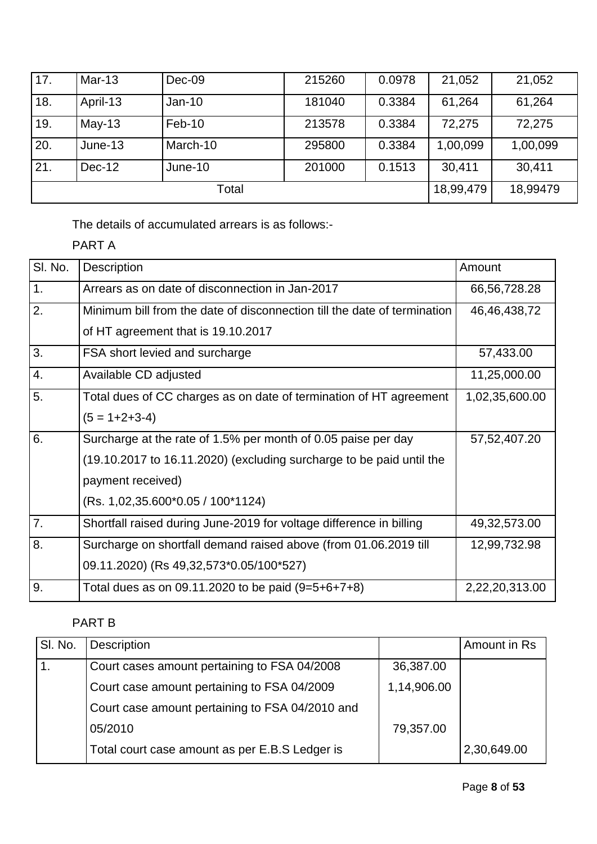| 17.   | Mar-13   | Dec-09   | 215260 | 0.0978 | 21,052    | 21,052   |
|-------|----------|----------|--------|--------|-----------|----------|
| 18.   | April-13 | $Jan-10$ | 181040 | 0.3384 | 61,264    | 61,264   |
| 19.   | $May-13$ | $Feb-10$ | 213578 | 0.3384 | 72,275    | 72,275   |
| 20.   | June-13  | March-10 | 295800 | 0.3384 | 1,00,099  | 1,00,099 |
| 21.   | $Dec-12$ | June-10  | 201000 | 0.1513 | 30,411    | 30,411   |
| Total |          |          |        |        | 18,99,479 | 18,99479 |

The details of accumulated arrears is as follows:-

# PART A

| SI. No. | Description                                                              | Amount         |
|---------|--------------------------------------------------------------------------|----------------|
| 1.      | Arrears as on date of disconnection in Jan-2017                          | 66,56,728.28   |
| 2.      | Minimum bill from the date of disconnection till the date of termination | 46,46,438,72   |
|         | of HT agreement that is 19.10.2017                                       |                |
| 3.      | FSA short levied and surcharge                                           | 57,433.00      |
| 4.      | Available CD adjusted                                                    | 11,25,000.00   |
| 5.      | Total dues of CC charges as on date of termination of HT agreement       | 1,02,35,600.00 |
|         | $(5 = 1+2+3-4)$                                                          |                |
| 6.      | Surcharge at the rate of 1.5% per month of 0.05 paise per day            | 57,52,407.20   |
|         | (19.10.2017 to 16.11.2020) (excluding surcharge to be paid until the     |                |
|         | payment received)                                                        |                |
|         | $(Rs. 1,02,35.600*0.05 / 100*1124)$                                      |                |
| 7.      | Shortfall raised during June-2019 for voltage difference in billing      | 49,32,573.00   |
| 8.      | Surcharge on shortfall demand raised above (from 01.06.2019 till         | 12,99,732.98   |
|         | 09.11.2020) (Rs 49,32,573*0.05/100*527)                                  |                |
| 9.      | Total dues as on 09.11.2020 to be paid $(9=5+6+7+8)$                     | 2,22,20,313.00 |

# PART B

| SI. No. | Description                                     |             | Amount in Rs |
|---------|-------------------------------------------------|-------------|--------------|
|         | Court cases amount pertaining to FSA 04/2008    | 36,387.00   |              |
|         | Court case amount pertaining to FSA 04/2009     | 1,14,906.00 |              |
|         | Court case amount pertaining to FSA 04/2010 and |             |              |
|         | 05/2010                                         | 79,357.00   |              |
|         | Total court case amount as per E.B.S Ledger is  |             | 2,30,649.00  |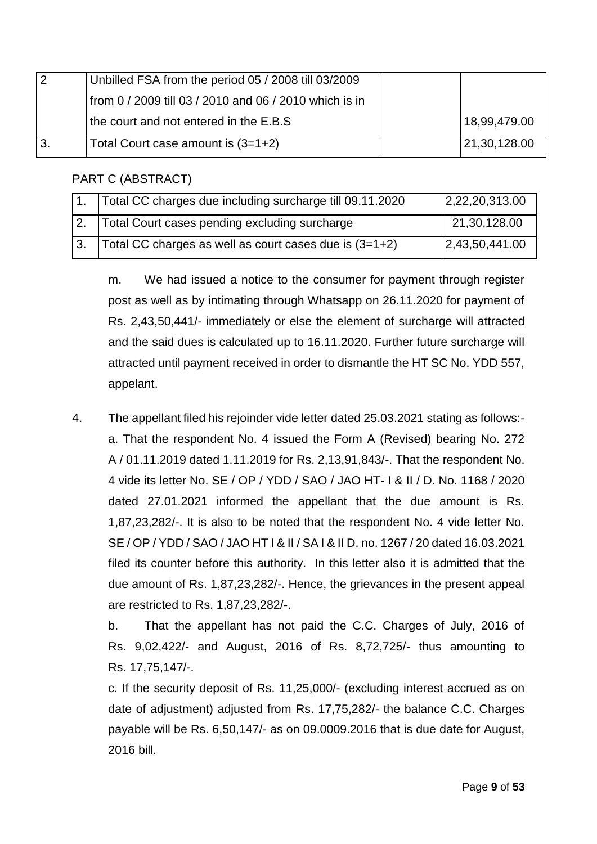| $\overline{2}$ | Unbilled FSA from the period 05 / 2008 till 03/2009    |              |
|----------------|--------------------------------------------------------|--------------|
|                | from 0 / 2009 till 03 / 2010 and 06 / 2010 which is in |              |
|                | the court and not entered in the E.B.S                 | 18,99,479.00 |
|                | Total Court case amount is (3=1+2)                     | 21,30,128.00 |

PART C (ABSTRACT)

| Total CC charges due including surcharge till 09.11.2020 | 2,22,20,313.00 |
|----------------------------------------------------------|----------------|
| Total Court cases pending excluding surcharge            | 21,30,128.00   |
| Total CC charges as well as court cases due is $(3=1+2)$ | 2,43,50,441.00 |

m. We had issued a notice to the consumer for payment through register post as well as by intimating through Whatsapp on 26.11.2020 for payment of Rs. 2,43,50,441/- immediately or else the element of surcharge will attracted and the said dues is calculated up to 16.11.2020. Further future surcharge will attracted until payment received in order to dismantle the HT SC No. YDD 557, appelant.

4. The appellant filed his rejoinder vide letter dated 25.03.2021 stating as follows: a. That the respondent No. 4 issued the Form A (Revised) bearing No. 272 A / 01.11.2019 dated 1.11.2019 for Rs. 2,13,91,843/-. That the respondent No. 4 vide its letter No. SE / OP / YDD / SAO / JAO HT- I & II / D. No. 1168 / 2020 dated 27.01.2021 informed the appellant that the due amount is Rs. 1,87,23,282/-. It is also to be noted that the respondent No. 4 vide letter No. SE / OP / YDD / SAO / JAO HT I & II / SA I & II D. no. 1267 / 20 dated 16.03.2021 filed its counter before this authority. In this letter also it is admitted that the due amount of Rs. 1,87,23,282/-. Hence, the grievances in the present appeal are restricted to Rs. 1,87,23,282/-.

b. That the appellant has not paid the C.C. Charges of July, 2016 of Rs. 9,02,422/- and August, 2016 of Rs. 8,72,725/- thus amounting to Rs. 17,75,147/-.

c. If the security deposit of Rs. 11,25,000/- (excluding interest accrued as on date of adjustment) adjusted from Rs. 17,75,282/- the balance C.C. Charges payable will be Rs. 6,50,147/- as on 09.0009.2016 that is due date for August, 2016 bill.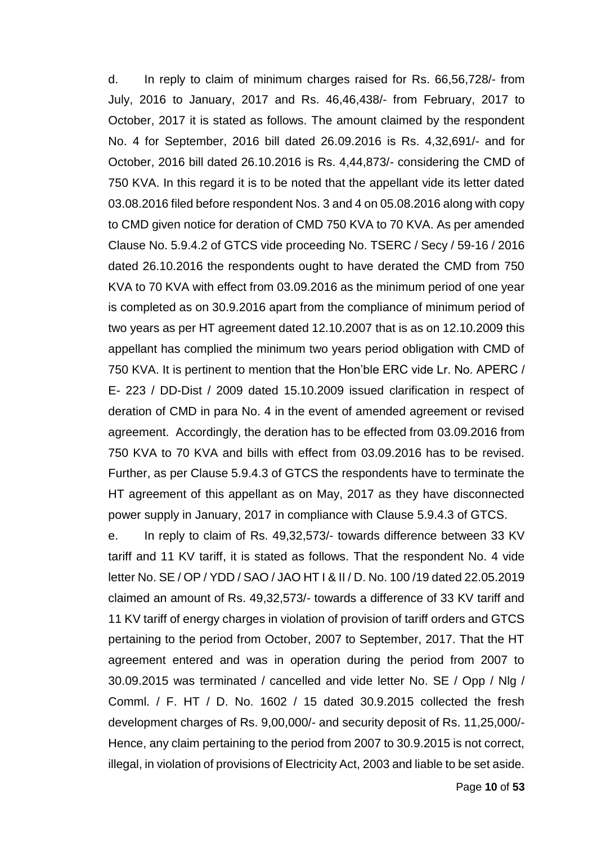d. In reply to claim of minimum charges raised for Rs. 66,56,728/- from July, 2016 to January, 2017 and Rs. 46,46,438/- from February, 2017 to October, 2017 it is stated as follows. The amount claimed by the respondent No. 4 for September, 2016 bill dated 26.09.2016 is Rs. 4,32,691/- and for October, 2016 bill dated 26.10.2016 is Rs. 4,44,873/- considering the CMD of 750 KVA. In this regard it is to be noted that the appellant vide its letter dated 03.08.2016 filed before respondent Nos. 3 and 4 on 05.08.2016 along with copy to CMD given notice for deration of CMD 750 KVA to 70 KVA. As per amended Clause No. 5.9.4.2 of GTCS vide proceeding No. TSERC / Secy / 59-16 / 2016 dated 26.10.2016 the respondents ought to have derated the CMD from 750 KVA to 70 KVA with effect from 03.09.2016 as the minimum period of one year is completed as on 30.9.2016 apart from the compliance of minimum period of two years as per HT agreement dated 12.10.2007 that is as on 12.10.2009 this appellant has complied the minimum two years period obligation with CMD of 750 KVA. It is pertinent to mention that the Hon'ble ERC vide Lr. No. APERC / E- 223 / DD-Dist / 2009 dated 15.10.2009 issued clarification in respect of deration of CMD in para No. 4 in the event of amended agreement or revised agreement. Accordingly, the deration has to be effected from 03.09.2016 from 750 KVA to 70 KVA and bills with effect from 03.09.2016 has to be revised. Further, as per Clause 5.9.4.3 of GTCS the respondents have to terminate the HT agreement of this appellant as on May, 2017 as they have disconnected power supply in January, 2017 in compliance with Clause 5.9.4.3 of GTCS.

e. In reply to claim of Rs. 49,32,573/- towards difference between 33 KV tariff and 11 KV tariff, it is stated as follows. That the respondent No. 4 vide letter No. SE / OP / YDD / SAO / JAO HT I & II / D. No. 100 /19 dated 22.05.2019 claimed an amount of Rs. 49,32,573/- towards a difference of 33 KV tariff and 11 KV tariff of energy charges in violation of provision of tariff orders and GTCS pertaining to the period from October, 2007 to September, 2017. That the HT agreement entered and was in operation during the period from 2007 to 30.09.2015 was terminated / cancelled and vide letter No. SE / Opp / Nlg / Comml. / F. HT / D. No. 1602 / 15 dated 30.9.2015 collected the fresh development charges of Rs. 9,00,000/- and security deposit of Rs. 11,25,000/- Hence, any claim pertaining to the period from 2007 to 30.9.2015 is not correct, illegal, in violation of provisions of Electricity Act, 2003 and liable to be set aside.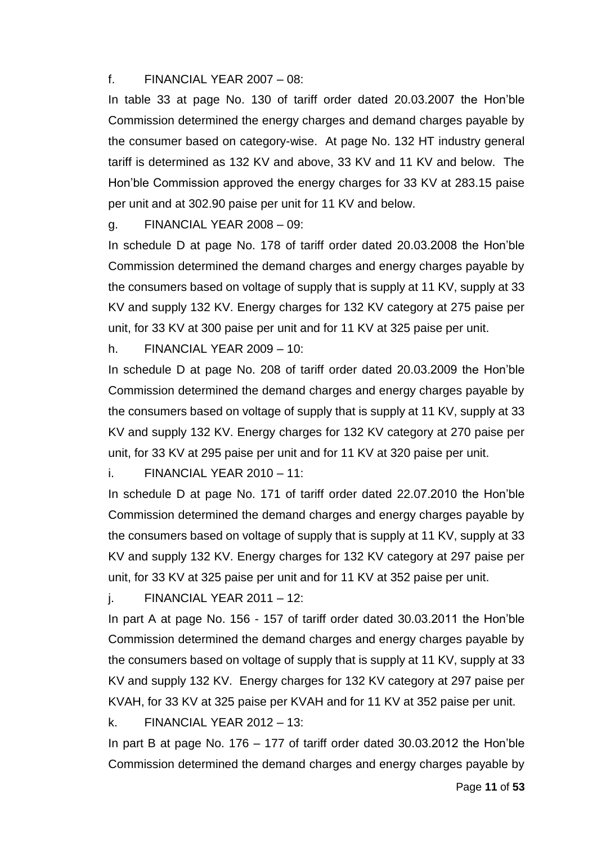#### f. FINANCIAL YEAR 2007 – 08:

In table 33 at page No. 130 of tariff order dated 20.03.2007 the Hon'ble Commission determined the energy charges and demand charges payable by the consumer based on category-wise. At page No. 132 HT industry general tariff is determined as 132 KV and above, 33 KV and 11 KV and below. The Hon'ble Commission approved the energy charges for 33 KV at 283.15 paise per unit and at 302.90 paise per unit for 11 KV and below.

g. FINANCIAL YEAR 2008 – 09:

In schedule D at page No. 178 of tariff order dated 20.03.2008 the Hon'ble Commission determined the demand charges and energy charges payable by the consumers based on voltage of supply that is supply at 11 KV, supply at 33 KV and supply 132 KV. Energy charges for 132 KV category at 275 paise per unit, for 33 KV at 300 paise per unit and for 11 KV at 325 paise per unit.

h. FINANCIAL YEAR 2009 – 10:

In schedule D at page No. 208 of tariff order dated 20.03.2009 the Hon'ble Commission determined the demand charges and energy charges payable by the consumers based on voltage of supply that is supply at 11 KV, supply at 33 KV and supply 132 KV. Energy charges for 132 KV category at 270 paise per unit, for 33 KV at 295 paise per unit and for 11 KV at 320 paise per unit.

i. FINANCIAL YEAR 2010 – 11:

In schedule D at page No. 171 of tariff order dated 22.07.2010 the Hon'ble Commission determined the demand charges and energy charges payable by the consumers based on voltage of supply that is supply at 11 KV, supply at 33 KV and supply 132 KV. Energy charges for 132 KV category at 297 paise per unit, for 33 KV at 325 paise per unit and for 11 KV at 352 paise per unit.

j. FINANCIAL YEAR 2011 – 12:

In part A at page No. 156 - 157 of tariff order dated 30.03.2011 the Hon'ble Commission determined the demand charges and energy charges payable by the consumers based on voltage of supply that is supply at 11 KV, supply at 33 KV and supply 132 KV. Energy charges for 132 KV category at 297 paise per KVAH, for 33 KV at 325 paise per KVAH and for 11 KV at 352 paise per unit.

k. FINANCIAL YEAR 2012 – 13:

In part B at page No. 176 – 177 of tariff order dated 30.03.2012 the Hon'ble Commission determined the demand charges and energy charges payable by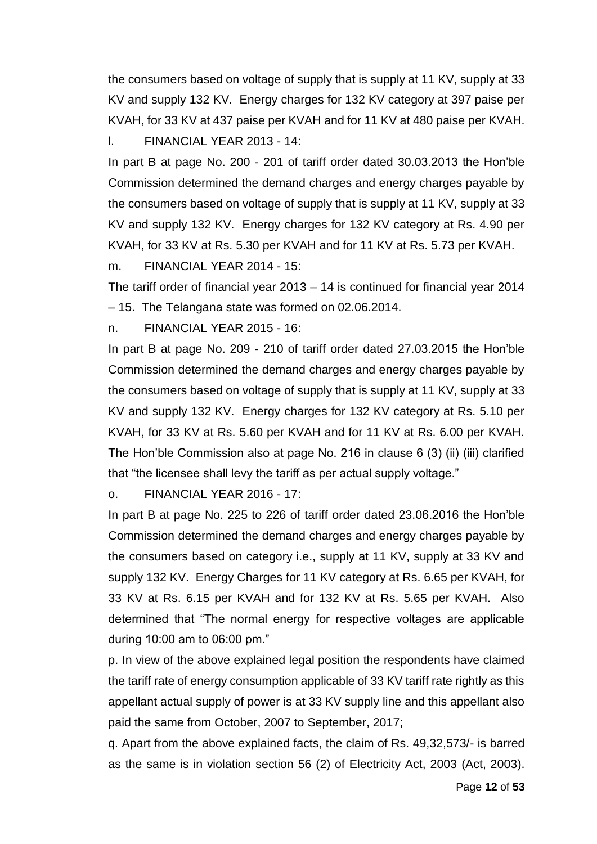the consumers based on voltage of supply that is supply at 11 KV, supply at 33 KV and supply 132 KV. Energy charges for 132 KV category at 397 paise per KVAH, for 33 KV at 437 paise per KVAH and for 11 KV at 480 paise per KVAH.

l. FINANCIAL YEAR 2013 - 14:

In part B at page No. 200 - 201 of tariff order dated 30.03.2013 the Hon'ble Commission determined the demand charges and energy charges payable by the consumers based on voltage of supply that is supply at 11 KV, supply at 33 KV and supply 132 KV. Energy charges for 132 KV category at Rs. 4.90 per KVAH, for 33 KV at Rs. 5.30 per KVAH and for 11 KV at Rs. 5.73 per KVAH.

m. FINANCIAL YEAR 2014 - 15:

The tariff order of financial year 2013 – 14 is continued for financial year 2014 – 15. The Telangana state was formed on 02.06.2014.

n. FINANCIAL YEAR 2015 - 16:

In part B at page No. 209 - 210 of tariff order dated 27.03.2015 the Hon'ble Commission determined the demand charges and energy charges payable by the consumers based on voltage of supply that is supply at 11 KV, supply at 33 KV and supply 132 KV. Energy charges for 132 KV category at Rs. 5.10 per KVAH, for 33 KV at Rs. 5.60 per KVAH and for 11 KV at Rs. 6.00 per KVAH. The Hon'ble Commission also at page No. 216 in clause 6 (3) (ii) (iii) clarified that "the licensee shall levy the tariff as per actual supply voltage."

o. FINANCIAL YEAR 2016 - 17:

In part B at page No. 225 to 226 of tariff order dated 23.06.2016 the Hon'ble Commission determined the demand charges and energy charges payable by the consumers based on category i.e., supply at 11 KV, supply at 33 KV and supply 132 KV. Energy Charges for 11 KV category at Rs. 6.65 per KVAH, for 33 KV at Rs. 6.15 per KVAH and for 132 KV at Rs. 5.65 per KVAH. Also determined that "The normal energy for respective voltages are applicable during 10:00 am to 06:00 pm."

p. In view of the above explained legal position the respondents have claimed the tariff rate of energy consumption applicable of 33 KV tariff rate rightly as this appellant actual supply of power is at 33 KV supply line and this appellant also paid the same from October, 2007 to September, 2017;

q. Apart from the above explained facts, the claim of Rs. 49,32,573/- is barred as the same is in violation section 56 (2) of Electricity Act, 2003 (Act, 2003).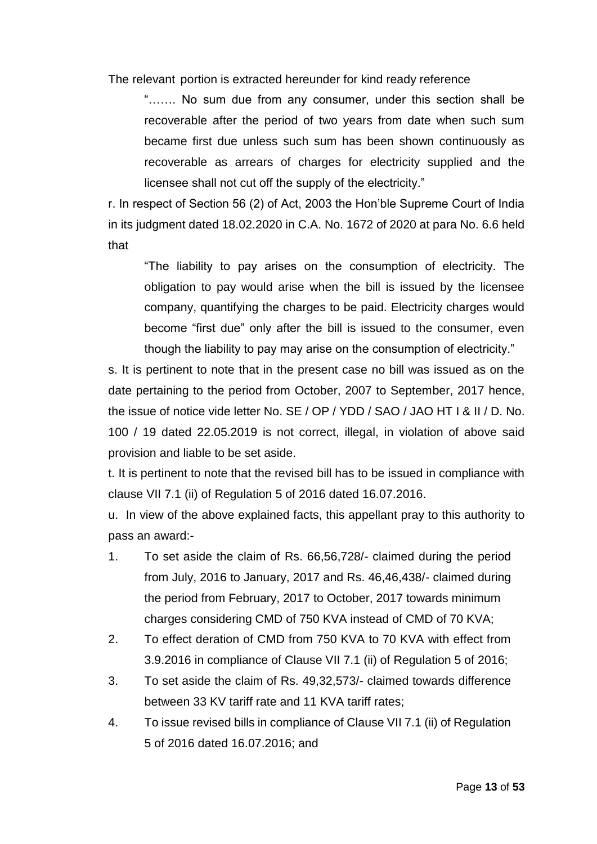The relevant portion is extracted hereunder for kind ready reference

"……. No sum due from any consumer, under this section shall be recoverable after the period of two years from date when such sum became first due unless such sum has been shown continuously as recoverable as arrears of charges for electricity supplied and the licensee shall not cut off the supply of the electricity."

r. In respect of Section 56 (2) of Act, 2003 the Hon'ble Supreme Court of India in its judgment dated 18.02.2020 in C.A. No. 1672 of 2020 at para No. 6.6 held that

"The liability to pay arises on the consumption of electricity. The obligation to pay would arise when the bill is issued by the licensee company, quantifying the charges to be paid. Electricity charges would become "first due" only after the bill is issued to the consumer, even though the liability to pay may arise on the consumption of electricity."

s. It is pertinent to note that in the present case no bill was issued as on the date pertaining to the period from October, 2007 to September, 2017 hence, the issue of notice vide letter No. SE / OP / YDD / SAO / JAO HT I & II / D. No. 100 / 19 dated 22.05.2019 is not correct, illegal, in violation of above said provision and liable to be set aside.

t. It is pertinent to note that the revised bill has to be issued in compliance with clause VII 7.1 (ii) of Regulation 5 of 2016 dated 16.07.2016.

u. In view of the above explained facts, this appellant pray to this authority to pass an award:-

- 1. To set aside the claim of Rs. 66,56,728/- claimed during the period from July, 2016 to January, 2017 and Rs. 46,46,438/- claimed during the period from February, 2017 to October, 2017 towards minimum charges considering CMD of 750 KVA instead of CMD of 70 KVA;
- 2. To effect deration of CMD from 750 KVA to 70 KVA with effect from 3.9.2016 in compliance of Clause VII 7.1 (ii) of Regulation 5 of 2016;
- 3. To set aside the claim of Rs. 49,32,573/- claimed towards difference between 33 KV tariff rate and 11 KVA tariff rates;
- 4. To issue revised bills in compliance of Clause VII 7.1 (ii) of Regulation 5 of 2016 dated 16.07.2016; and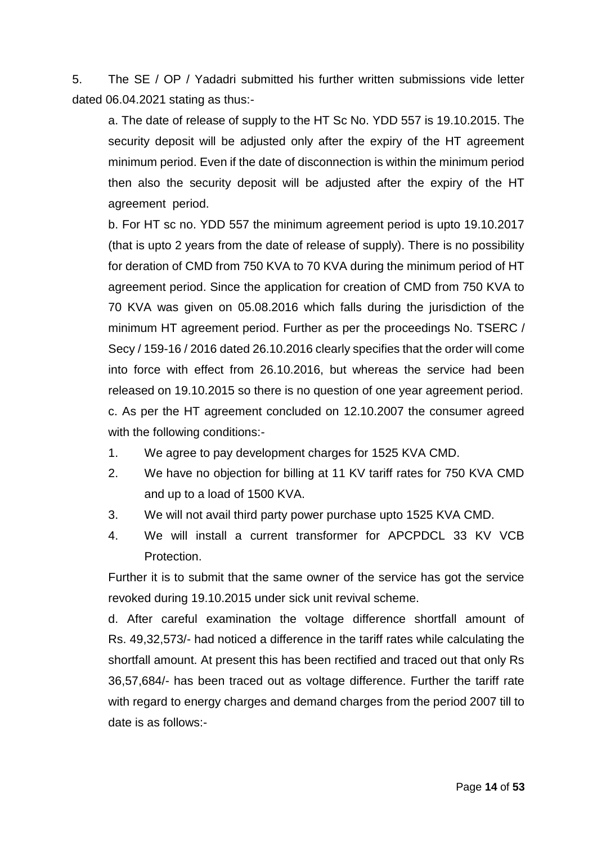5. The SE / OP / Yadadri submitted his further written submissions vide letter dated 06.04.2021 stating as thus:-

a. The date of release of supply to the HT Sc No. YDD 557 is 19.10.2015. The security deposit will be adjusted only after the expiry of the HT agreement minimum period. Even if the date of disconnection is within the minimum period then also the security deposit will be adjusted after the expiry of the HT agreement period.

b. For HT sc no. YDD 557 the minimum agreement period is upto 19.10.2017 (that is upto 2 years from the date of release of supply). There is no possibility for deration of CMD from 750 KVA to 70 KVA during the minimum period of HT agreement period. Since the application for creation of CMD from 750 KVA to 70 KVA was given on 05.08.2016 which falls during the jurisdiction of the minimum HT agreement period. Further as per the proceedings No. TSERC / Secy / 159-16 / 2016 dated 26.10.2016 clearly specifies that the order will come into force with effect from 26.10.2016, but whereas the service had been released on 19.10.2015 so there is no question of one year agreement period. c. As per the HT agreement concluded on 12.10.2007 the consumer agreed with the following conditions:-

- 1. We agree to pay development charges for 1525 KVA CMD.
- 2. We have no objection for billing at 11 KV tariff rates for 750 KVA CMD and up to a load of 1500 KVA.
- 3. We will not avail third party power purchase upto 1525 KVA CMD.
- 4. We will install a current transformer for APCPDCL 33 KV VCB Protection.

Further it is to submit that the same owner of the service has got the service revoked during 19.10.2015 under sick unit revival scheme.

d. After careful examination the voltage difference shortfall amount of Rs. 49,32,573/- had noticed a difference in the tariff rates while calculating the shortfall amount. At present this has been rectified and traced out that only Rs 36,57,684/- has been traced out as voltage difference. Further the tariff rate with regard to energy charges and demand charges from the period 2007 till to date is as follows:-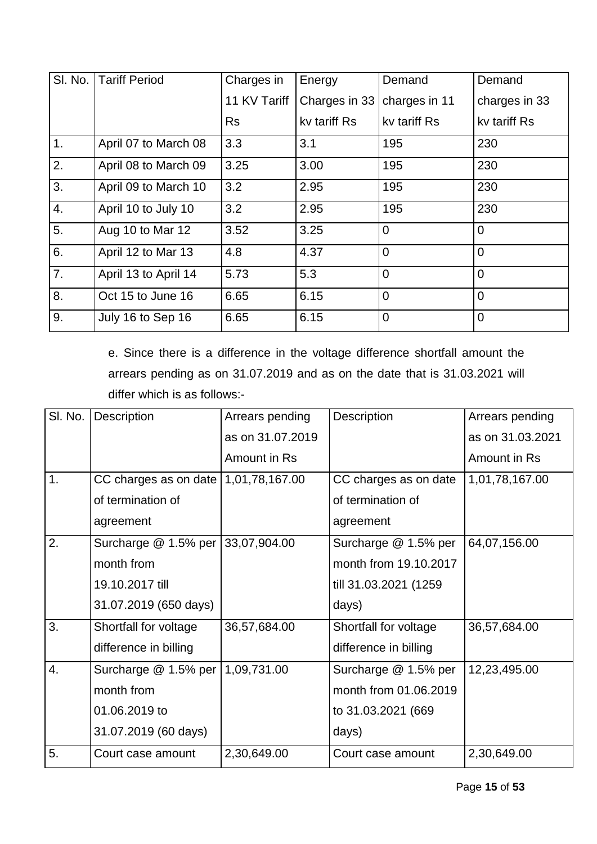| SI. No. | <b>Tariff Period</b> | Charges in   | Energy        | Demand         | Demand         |
|---------|----------------------|--------------|---------------|----------------|----------------|
|         |                      | 11 KV Tariff | Charges in 33 | charges in 11  | charges in 33  |
|         |                      | <b>Rs</b>    | ky tariff Rs  | ky tariff Rs   | ky tariff Rs   |
| 1.      | April 07 to March 08 | 3.3          | 3.1           | 195            | 230            |
| 2.      | April 08 to March 09 | 3.25         | 3.00          | 195            | 230            |
| 3.      | April 09 to March 10 | 3.2          | 2.95          | 195            | 230            |
| 4.      | April 10 to July 10  | 3.2          | 2.95          | 195            | 230            |
| 5.      | Aug 10 to Mar 12     | 3.52         | 3.25          | $\overline{0}$ | $\overline{0}$ |
| 6.      | April 12 to Mar 13   | 4.8          | 4.37          | $\Omega$       | $\mathbf 0$    |
| 7.      | April 13 to April 14 | 5.73         | 5.3           | $\overline{0}$ | $\overline{0}$ |
| 8.      | Oct 15 to June 16    | 6.65         | 6.15          | $\overline{0}$ | $\overline{0}$ |
| 9.      | July 16 to Sep 16    | 6.65         | 6.15          | $\overline{0}$ | $\overline{0}$ |

e. Since there is a difference in the voltage difference shortfall amount the arrears pending as on 31.07.2019 and as on the date that is 31.03.2021 will differ which is as follows:-

| SI. No. | Description                         | Arrears pending  | Description           | Arrears pending  |
|---------|-------------------------------------|------------------|-----------------------|------------------|
|         |                                     | as on 31.07.2019 |                       | as on 31.03.2021 |
|         |                                     | Amount in Rs     |                       | Amount in Rs     |
| 1.      | CC charges as on date               | 1,01,78,167.00   | CC charges as on date | 1,01,78,167.00   |
|         | of termination of                   |                  | of termination of     |                  |
|         | agreement                           |                  | agreement             |                  |
| 2.      | Surcharge @ 1.5% per   33,07,904.00 |                  | Surcharge @ 1.5% per  | 64,07,156.00     |
|         | month from                          |                  | month from 19.10.2017 |                  |
|         | 19.10.2017 till                     |                  | till 31.03.2021 (1259 |                  |
|         | 31.07.2019 (650 days)               |                  | days)                 |                  |
| 3.      | Shortfall for voltage               | 36,57,684.00     | Shortfall for voltage | 36,57,684.00     |
|         | difference in billing               |                  | difference in billing |                  |
| 4.      | Surcharge @ 1.5% per                | 1,09,731.00      | Surcharge @ 1.5% per  | 12,23,495.00     |
|         | month from                          |                  | month from 01.06.2019 |                  |
|         | 01.06.2019 to                       |                  | to 31.03.2021 (669)   |                  |
|         | 31.07.2019 (60 days)                |                  | days)                 |                  |
| 5.      | Court case amount                   | 2,30,649.00      | Court case amount     | 2,30,649.00      |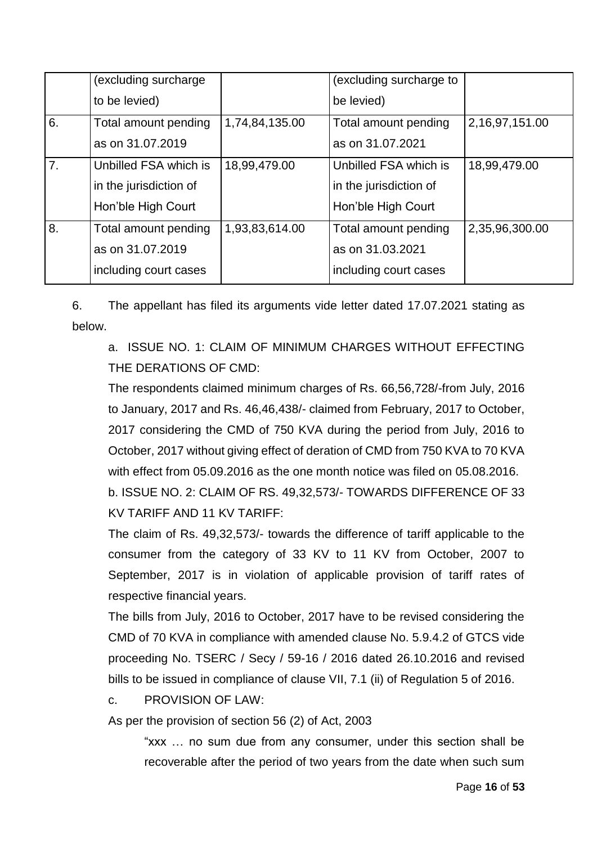|                | (excluding surcharge   |                | (excluding surcharge to |                |
|----------------|------------------------|----------------|-------------------------|----------------|
|                | to be levied)          |                | be levied)              |                |
| 6.             | Total amount pending   | 1,74,84,135.00 | Total amount pending    | 2,16,97,151.00 |
|                | as on 31,07,2019       |                | as on 31.07.2021        |                |
| 7 <sub>1</sub> | Unbilled FSA which is  | 18,99,479.00   | Unbilled FSA which is   | 18,99,479.00   |
|                | in the jurisdiction of |                | in the jurisdiction of  |                |
|                | Hon'ble High Court     |                | Hon'ble High Court      |                |
| 8.             | Total amount pending   | 1,93,83,614.00 | Total amount pending    | 2,35,96,300.00 |
|                | as on 31,07,2019       |                | as on 31.03.2021        |                |
|                | including court cases  |                | including court cases   |                |

6. The appellant has filed its arguments vide letter dated 17.07.2021 stating as below.

a. ISSUE NO. 1: CLAIM OF MINIMUM CHARGES WITHOUT EFFECTING THE DERATIONS OF CMD:

The respondents claimed minimum charges of Rs. 66,56,728/-from July, 2016 to January, 2017 and Rs. 46,46,438/- claimed from February, 2017 to October, 2017 considering the CMD of 750 KVA during the period from July, 2016 to October, 2017 without giving effect of deration of CMD from 750 KVA to 70 KVA with effect from 05.09.2016 as the one month notice was filed on 05.08.2016. b. ISSUE NO. 2: CLAIM OF RS. 49,32,573/- TOWARDS DIFFERENCE OF 33

KV TARIFF AND 11 KV TARIFF:

The claim of Rs. 49,32,573/- towards the difference of tariff applicable to the consumer from the category of 33 KV to 11 KV from October, 2007 to September, 2017 is in violation of applicable provision of tariff rates of respective financial years.

The bills from July, 2016 to October, 2017 have to be revised considering the CMD of 70 KVA in compliance with amended clause No. 5.9.4.2 of GTCS vide proceeding No. TSERC / Secy / 59-16 / 2016 dated 26.10.2016 and revised bills to be issued in compliance of clause VII, 7.1 (ii) of Regulation 5 of 2016.

## c. PROVISION OF LAW:

As per the provision of section 56 (2) of Act, 2003

"xxx … no sum due from any consumer, under this section shall be recoverable after the period of two years from the date when such sum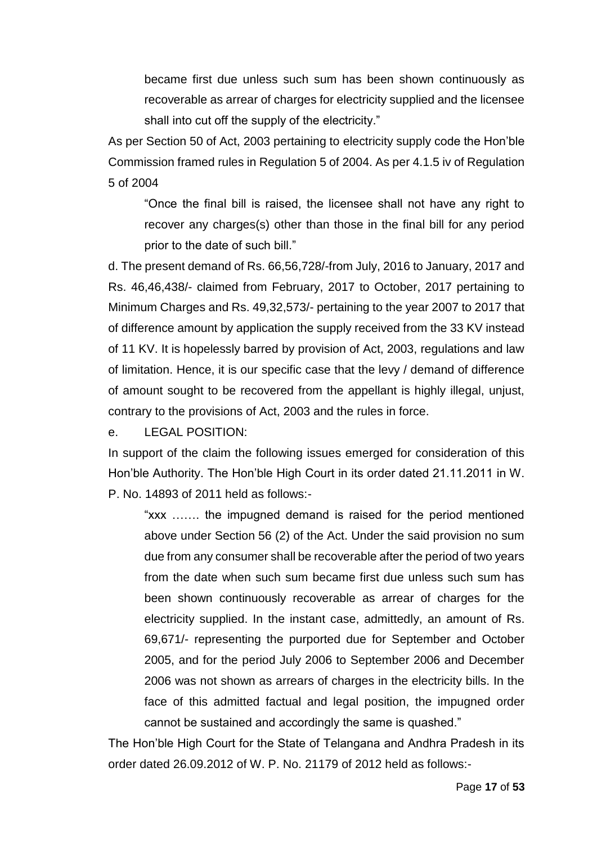became first due unless such sum has been shown continuously as recoverable as arrear of charges for electricity supplied and the licensee shall into cut off the supply of the electricity."

As per Section 50 of Act, 2003 pertaining to electricity supply code the Hon'ble Commission framed rules in Regulation 5 of 2004. As per 4.1.5 iv of Regulation 5 of 2004

"Once the final bill is raised, the licensee shall not have any right to recover any charges(s) other than those in the final bill for any period prior to the date of such bill."

d. The present demand of Rs. 66,56,728/-from July, 2016 to January, 2017 and Rs. 46,46,438/- claimed from February, 2017 to October, 2017 pertaining to Minimum Charges and Rs. 49,32,573/- pertaining to the year 2007 to 2017 that of difference amount by application the supply received from the 33 KV instead of 11 KV. It is hopelessly barred by provision of Act, 2003, regulations and law of limitation. Hence, it is our specific case that the levy / demand of difference of amount sought to be recovered from the appellant is highly illegal, unjust, contrary to the provisions of Act, 2003 and the rules in force.

e. LEGAL POSITION:

In support of the claim the following issues emerged for consideration of this Hon'ble Authority. The Hon'ble High Court in its order dated 21.11.2011 in W. P. No. 14893 of 2011 held as follows:-

"xxx ……. the impugned demand is raised for the period mentioned above under Section 56 (2) of the Act. Under the said provision no sum due from any consumer shall be recoverable after the period of two years from the date when such sum became first due unless such sum has been shown continuously recoverable as arrear of charges for the electricity supplied. In the instant case, admittedly, an amount of Rs. 69,671/- representing the purported due for September and October 2005, and for the period July 2006 to September 2006 and December 2006 was not shown as arrears of charges in the electricity bills. In the face of this admitted factual and legal position, the impugned order cannot be sustained and accordingly the same is quashed."

The Hon'ble High Court for the State of Telangana and Andhra Pradesh in its order dated 26.09.2012 of W. P. No. 21179 of 2012 held as follows:-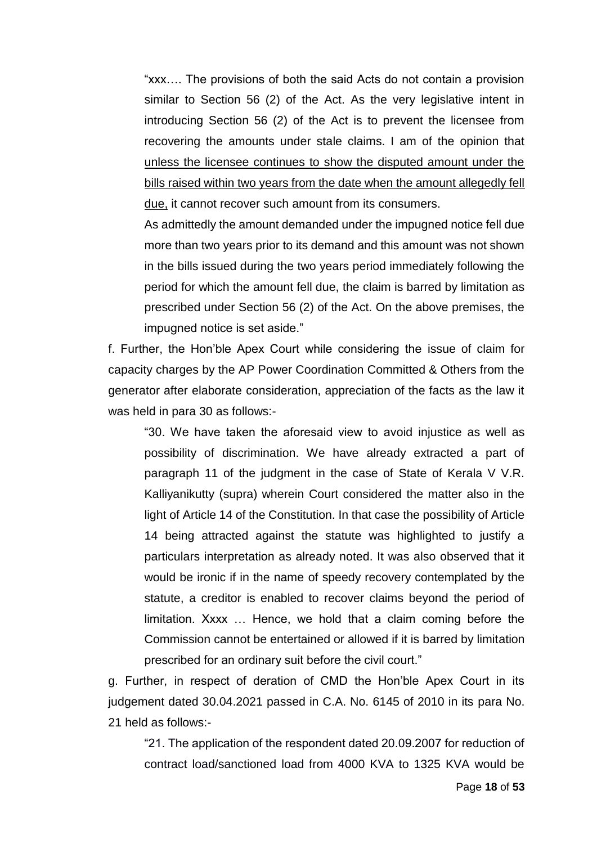"xxx…. The provisions of both the said Acts do not contain a provision similar to Section 56 (2) of the Act. As the very legislative intent in introducing Section 56 (2) of the Act is to prevent the licensee from recovering the amounts under stale claims. I am of the opinion that unless the licensee continues to show the disputed amount under the bills raised within two years from the date when the amount allegedly fell due, it cannot recover such amount from its consumers.

As admittedly the amount demanded under the impugned notice fell due more than two years prior to its demand and this amount was not shown in the bills issued during the two years period immediately following the period for which the amount fell due, the claim is barred by limitation as prescribed under Section 56 (2) of the Act. On the above premises, the impugned notice is set aside."

f. Further, the Hon'ble Apex Court while considering the issue of claim for capacity charges by the AP Power Coordination Committed & Others from the generator after elaborate consideration, appreciation of the facts as the law it was held in para 30 as follows:-

"30. We have taken the aforesaid view to avoid injustice as well as possibility of discrimination. We have already extracted a part of paragraph 11 of the judgment in the case of State of Kerala V V.R. Kalliyanikutty (supra) wherein Court considered the matter also in the light of Article 14 of the Constitution. In that case the possibility of Article 14 being attracted against the statute was highlighted to justify a particulars interpretation as already noted. It was also observed that it would be ironic if in the name of speedy recovery contemplated by the statute, a creditor is enabled to recover claims beyond the period of limitation. Xxxx … Hence, we hold that a claim coming before the Commission cannot be entertained or allowed if it is barred by limitation prescribed for an ordinary suit before the civil court."

g. Further, in respect of deration of CMD the Hon'ble Apex Court in its judgement dated 30.04.2021 passed in C.A. No. 6145 of 2010 in its para No. 21 held as follows:-

"21. The application of the respondent dated 20.09.2007 for reduction of contract load/sanctioned load from 4000 KVA to 1325 KVA would be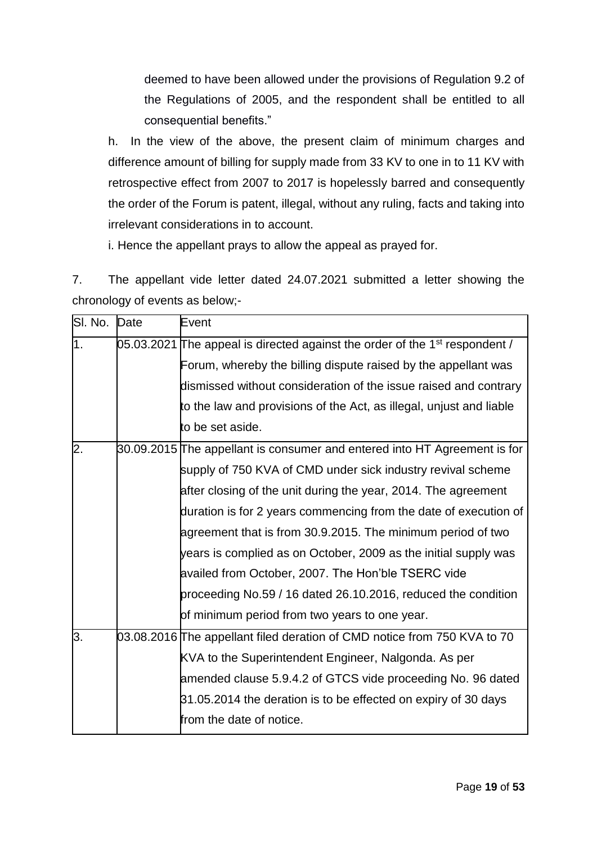deemed to have been allowed under the provisions of Regulation 9.2 of the Regulations of 2005, and the respondent shall be entitled to all consequential benefits."

h. In the view of the above, the present claim of minimum charges and difference amount of billing for supply made from 33 KV to one in to 11 KV with retrospective effect from 2007 to 2017 is hopelessly barred and consequently the order of the Forum is patent, illegal, without any ruling, facts and taking into irrelevant considerations in to account.

i. Hence the appellant prays to allow the appeal as prayed for.

7. The appellant vide letter dated 24.07.2021 submitted a letter showing the chronology of events as below;-

| SI. No. Date   | Event                                                                                   |
|----------------|-----------------------------------------------------------------------------------------|
| 1 <sub>1</sub> | 05.03.2021 The appeal is directed against the order of the 1 <sup>st</sup> respondent / |
|                | Forum, whereby the billing dispute raised by the appellant was                          |
|                | dismissed without consideration of the issue raised and contrary                        |
|                | to the law and provisions of the Act, as illegal, unjust and liable                     |
|                | to be set aside.                                                                        |
| 2.             | 30.09.2015 The appellant is consumer and entered into HT Agreement is for               |
|                | supply of 750 KVA of CMD under sick industry revival scheme                             |
|                | after closing of the unit during the year, 2014. The agreement                          |
|                | duration is for 2 years commencing from the date of execution of                        |
|                | agreement that is from 30.9.2015. The minimum period of two                             |
|                | years is complied as on October, 2009 as the initial supply was                         |
|                | availed from October, 2007. The Hon'ble TSERC vide                                      |
|                | proceeding No.59 / 16 dated 26.10.2016, reduced the condition                           |
|                | of minimum period from two years to one year.                                           |
| 3.             | 03.08.2016 The appellant filed deration of CMD notice from 750 KVA to 70                |
|                | KVA to the Superintendent Engineer, Nalgonda. As per                                    |
|                | amended clause 5.9.4.2 of GTCS vide proceeding No. 96 dated                             |
|                | 31.05.2014 the deration is to be effected on expiry of 30 days                          |
|                | from the date of notice.                                                                |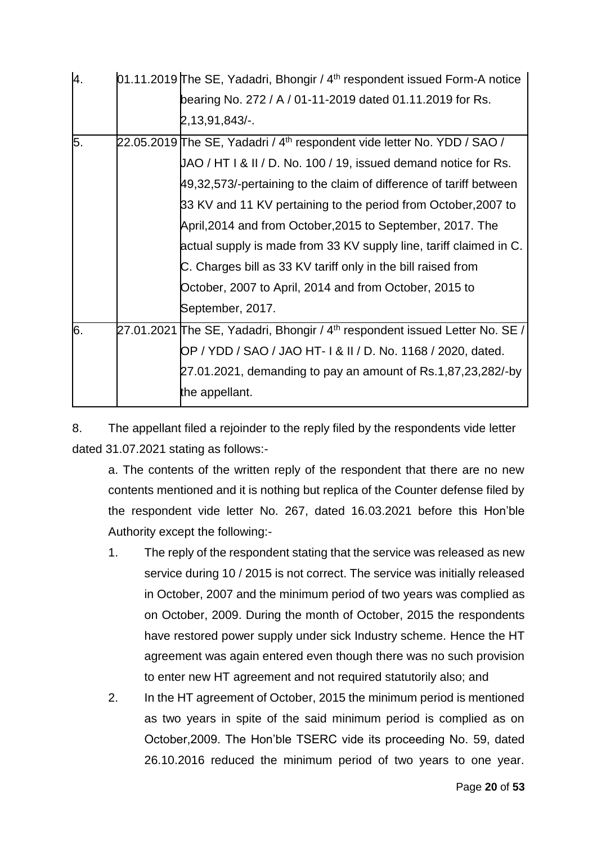| 4. | 01.11.2019 The SE, Yadadri, Bhongir / 4 <sup>th</sup> respondent issued Form-A notice   |
|----|-----------------------------------------------------------------------------------------|
|    | bearing No. 272 / A / 01-11-2019 dated 01.11.2019 for Rs.                               |
|    | 2,13,91,843/-.                                                                          |
| 5. | 22.05.2019 The SE, Yadadri / 4 <sup>th</sup> respondent vide letter No. YDD / SAO /     |
|    | UAO / HT I & II / D. No. 100 / 19, issued demand notice for Rs.                         |
|    | 49,32,573/-pertaining to the claim of difference of tariff between                      |
|    | 33 KV and 11 KV pertaining to the period from October, 2007 to                          |
|    | April,2014 and from October,2015 to September, 2017. The                                |
|    | actual supply is made from 33 KV supply line, tariff claimed in C.                      |
|    | C. Charges bill as 33 KV tariff only in the bill raised from                            |
|    | October, 2007 to April, 2014 and from October, 2015 to                                  |
|    | September, 2017.                                                                        |
| 6. | 27.01.2021 The SE, Yadadri, Bhongir / 4 <sup>th</sup> respondent issued Letter No. SE / |
|    | OP / YDD / SAO / JAO HT- I & II / D. No. 1168 / 2020, dated.                            |
|    | 27.01.2021, demanding to pay an amount of Rs.1,87,23,282/-by                            |
|    | the appellant.                                                                          |
|    |                                                                                         |

8. The appellant filed a rejoinder to the reply filed by the respondents vide letter dated 31.07.2021 stating as follows:-

a. The contents of the written reply of the respondent that there are no new contents mentioned and it is nothing but replica of the Counter defense filed by the respondent vide letter No. 267, dated 16.03.2021 before this Hon'ble Authority except the following:-

- 1. The reply of the respondent stating that the service was released as new service during 10 / 2015 is not correct. The service was initially released in October, 2007 and the minimum period of two years was complied as on October, 2009. During the month of October, 2015 the respondents have restored power supply under sick Industry scheme. Hence the HT agreement was again entered even though there was no such provision to enter new HT agreement and not required statutorily also; and
- 2. In the HT agreement of October, 2015 the minimum period is mentioned as two years in spite of the said minimum period is complied as on October,2009. The Hon'ble TSERC vide its proceeding No. 59, dated 26.10.2016 reduced the minimum period of two years to one year.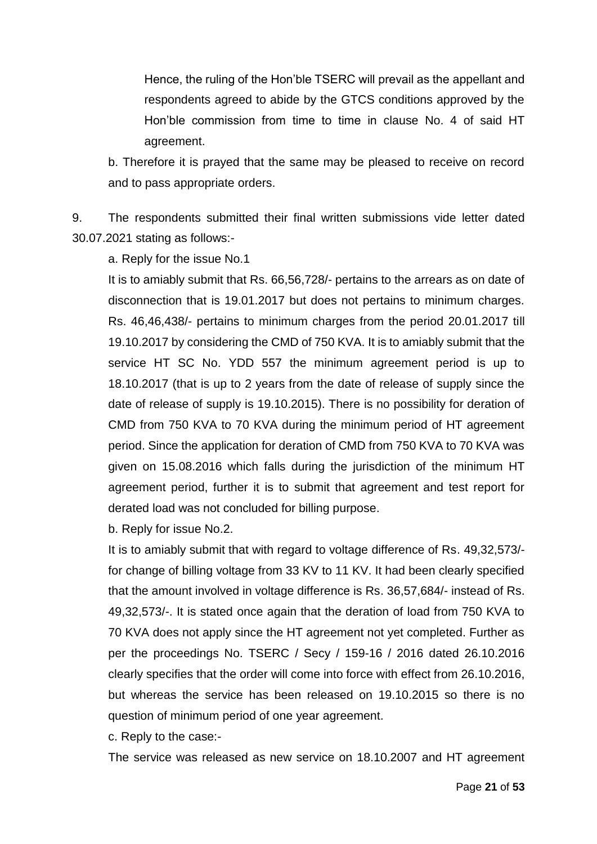Hence, the ruling of the Hon'ble TSERC will prevail as the appellant and respondents agreed to abide by the GTCS conditions approved by the Hon'ble commission from time to time in clause No. 4 of said HT agreement.

b. Therefore it is prayed that the same may be pleased to receive on record and to pass appropriate orders.

9. The respondents submitted their final written submissions vide letter dated 30.07.2021 stating as follows:-

a. Reply for the issue No.1

It is to amiably submit that Rs. 66,56,728/- pertains to the arrears as on date of disconnection that is 19.01.2017 but does not pertains to minimum charges. Rs. 46,46,438/- pertains to minimum charges from the period 20.01.2017 till 19.10.2017 by considering the CMD of 750 KVA. It is to amiably submit that the service HT SC No. YDD 557 the minimum agreement period is up to 18.10.2017 (that is up to 2 years from the date of release of supply since the date of release of supply is 19.10.2015). There is no possibility for deration of CMD from 750 KVA to 70 KVA during the minimum period of HT agreement period. Since the application for deration of CMD from 750 KVA to 70 KVA was given on 15.08.2016 which falls during the jurisdiction of the minimum HT agreement period, further it is to submit that agreement and test report for derated load was not concluded for billing purpose.

b. Reply for issue No.2.

It is to amiably submit that with regard to voltage difference of Rs. 49,32,573/ for change of billing voltage from 33 KV to 11 KV. It had been clearly specified that the amount involved in voltage difference is Rs. 36,57,684/- instead of Rs. 49,32,573/-. It is stated once again that the deration of load from 750 KVA to 70 KVA does not apply since the HT agreement not yet completed. Further as per the proceedings No. TSERC / Secy / 159-16 / 2016 dated 26.10.2016 clearly specifies that the order will come into force with effect from 26.10.2016, but whereas the service has been released on 19.10.2015 so there is no question of minimum period of one year agreement.

c. Reply to the case:-

The service was released as new service on 18.10.2007 and HT agreement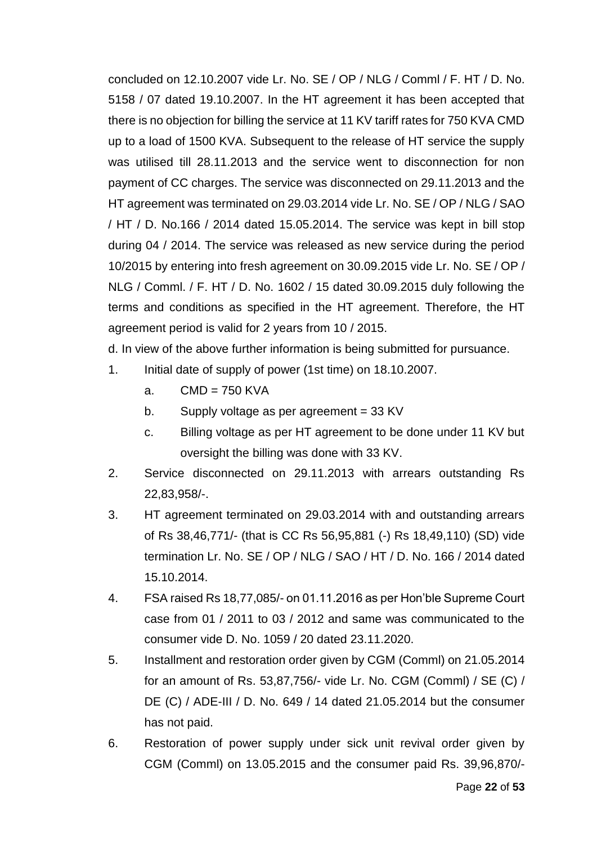concluded on 12.10.2007 vide Lr. No. SE / OP / NLG / Comml / F. HT / D. No. 5158 / 07 dated 19.10.2007. In the HT agreement it has been accepted that there is no objection for billing the service at 11 KV tariff rates for 750 KVA CMD up to a load of 1500 KVA. Subsequent to the release of HT service the supply was utilised till 28.11.2013 and the service went to disconnection for non payment of CC charges. The service was disconnected on 29.11.2013 and the HT agreement was terminated on 29.03.2014 vide Lr. No. SE / OP / NLG / SAO / HT / D. No.166 / 2014 dated 15.05.2014. The service was kept in bill stop during 04 / 2014. The service was released as new service during the period 10/2015 by entering into fresh agreement on 30.09.2015 vide Lr. No. SE / OP / NLG / Comml. / F. HT / D. No. 1602 / 15 dated 30.09.2015 duly following the terms and conditions as specified in the HT agreement. Therefore, the HT agreement period is valid for 2 years from 10 / 2015.

d. In view of the above further information is being submitted for pursuance.

- 1. Initial date of supply of power (1st time) on 18.10.2007.
	- a. CMD = 750 KVA
	- b. Supply voltage as per agreement  $= 33$  KV
	- c. Billing voltage as per HT agreement to be done under 11 KV but oversight the billing was done with 33 KV.
- 2. Service disconnected on 29.11.2013 with arrears outstanding Rs 22,83,958/-.
- 3. HT agreement terminated on 29.03.2014 with and outstanding arrears of Rs 38,46,771/- (that is CC Rs 56,95,881 (-) Rs 18,49,110) (SD) vide termination Lr. No. SE / OP / NLG / SAO / HT / D. No. 166 / 2014 dated 15.10.2014.
- 4. FSA raised Rs 18,77,085/- on 01.11.2016 as per Hon'ble Supreme Court case from 01 / 2011 to 03 / 2012 and same was communicated to the consumer vide D. No. 1059 / 20 dated 23.11.2020.
- 5. Installment and restoration order given by CGM (Comml) on 21.05.2014 for an amount of Rs. 53,87,756/- vide Lr. No. CGM (Comml) / SE (C) / DE (C) / ADE-III / D. No. 649 / 14 dated 21.05.2014 but the consumer has not paid.
- 6. Restoration of power supply under sick unit revival order given by CGM (Comml) on 13.05.2015 and the consumer paid Rs. 39,96,870/-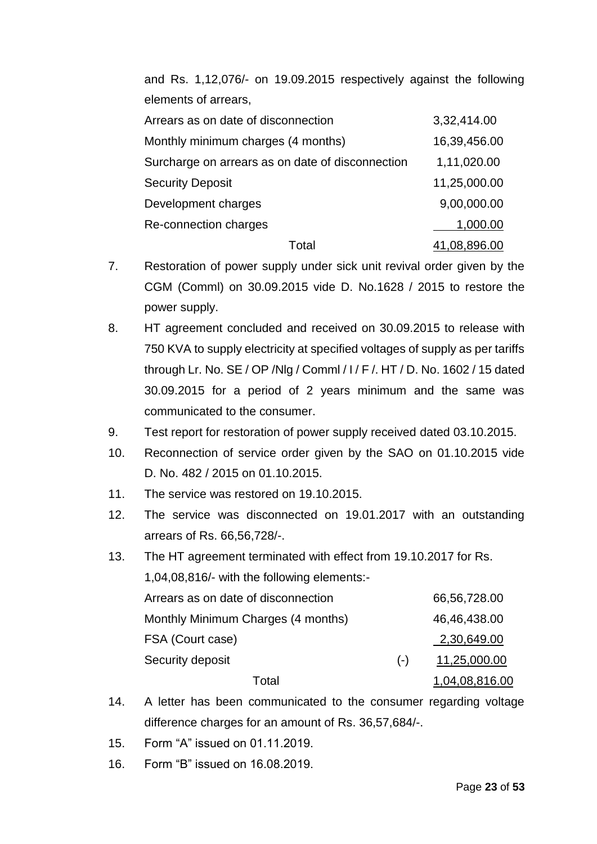and Rs. 1,12,076/- on 19.09.2015 respectively against the following elements of arrears,

| Arrears as on date of disconnection              | 3,32,414.00  |
|--------------------------------------------------|--------------|
| Monthly minimum charges (4 months)               | 16,39,456.00 |
| Surcharge on arrears as on date of disconnection | 1,11,020.00  |
| <b>Security Deposit</b>                          | 11,25,000.00 |
| Development charges                              | 9,00,000.00  |
| Re-connection charges                            | 1,000.00     |
| Total                                            | 41,08,896.00 |

- 7. Restoration of power supply under sick unit revival order given by the CGM (Comml) on 30.09.2015 vide D. No.1628 / 2015 to restore the power supply.
- 8. HT agreement concluded and received on 30.09.2015 to release with 750 KVA to supply electricity at specified voltages of supply as per tariffs through Lr. No. SE / OP /Nlg / Comml / I / F /. HT / D. No. 1602 / 15 dated 30.09.2015 for a period of 2 years minimum and the same was communicated to the consumer.
- 9. Test report for restoration of power supply received dated 03.10.2015.
- 10. Reconnection of service order given by the SAO on 01.10.2015 vide D. No. 482 / 2015 on 01.10.2015.
- 11. The service was restored on 19.10.2015.
- 12. The service was disconnected on 19.01.2017 with an outstanding arrears of Rs. 66,56,728/-.
- 13. The HT agreement terminated with effect from 19.10.2017 for Rs. 1,04,08,816/- with the following elements:- Arrears as on date of disconnection 66,56,728.00 Monthly Minimum Charges (4 months) 46,46,438.00

| FSA (Court case) | 2,30,649.00    |
|------------------|----------------|
| Security deposit | 11,25,000.00   |
| Total            | 1,04,08,816.00 |

- 14. A letter has been communicated to the consumer regarding voltage difference charges for an amount of Rs. 36,57,684/-.
- 15. Form "A" issued on 01.11.2019.
- 16. Form "B" issued on 16.08.2019.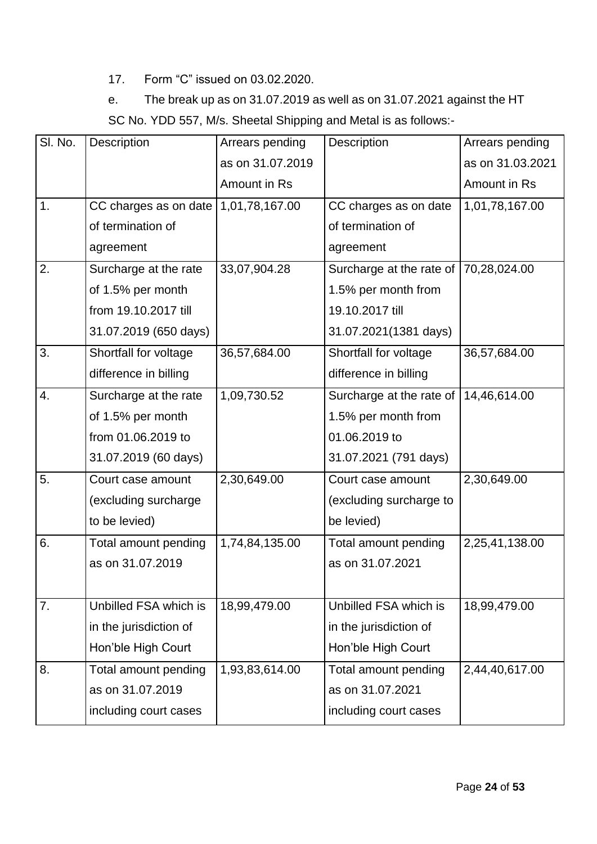17. Form "C" issued on 03.02.2020.

e. The break up as on 31.07.2019 as well as on 31.07.2021 against the HT

SC No. YDD 557, M/s. Sheetal Shipping and Metal is as follows:-

| SI. No. | Description                              | Arrears pending  | Description                                   | Arrears pending  |
|---------|------------------------------------------|------------------|-----------------------------------------------|------------------|
|         |                                          | as on 31.07.2019 |                                               | as on 31.03.2021 |
|         |                                          | Amount in Rs     |                                               | Amount in Rs     |
| 1.      | CC charges as on date $(1,01,78,167.00)$ |                  | CC charges as on date                         | 1,01,78,167.00   |
|         | of termination of                        |                  | of termination of                             |                  |
|         | agreement                                |                  | agreement                                     |                  |
| 2.      | Surcharge at the rate                    | 33,07,904.28     | Surcharge at the rate of $\vert$ 70,28,024.00 |                  |
|         | of 1.5% per month                        |                  | 1.5% per month from                           |                  |
|         | from 19.10.2017 till                     |                  | 19.10.2017 till                               |                  |
|         | 31.07.2019 (650 days)                    |                  | 31.07.2021(1381 days)                         |                  |
| 3.      | Shortfall for voltage                    | 36,57,684.00     | Shortfall for voltage                         | 36,57,684.00     |
|         | difference in billing                    |                  | difference in billing                         |                  |
| 4.      | Surcharge at the rate                    | 1,09,730.52      | Surcharge at the rate of                      | 14,46,614.00     |
|         | of 1.5% per month                        |                  | 1.5% per month from                           |                  |
|         | from 01.06.2019 to                       |                  | 01.06.2019 to                                 |                  |
|         | 31.07.2019 (60 days)                     |                  | 31.07.2021 (791 days)                         |                  |
| 5.      | Court case amount                        | 2,30,649.00      | Court case amount                             | 2,30,649.00      |
|         | (excluding surcharge                     |                  | (excluding surcharge to                       |                  |
|         | to be levied)                            |                  | be levied)                                    |                  |
| 6.      | Total amount pending                     | 1,74,84,135.00   | Total amount pending                          | 2,25,41,138.00   |
|         | as on 31.07.2019                         |                  | as on 31.07.2021                              |                  |
|         |                                          |                  |                                               |                  |
| 7.      | Unbilled FSA which is                    | 18,99,479.00     | Unbilled FSA which is                         | 18,99,479.00     |
|         | in the jurisdiction of                   |                  | in the jurisdiction of                        |                  |
|         | Hon'ble High Court                       |                  | Hon'ble High Court                            |                  |
| 8.      | Total amount pending                     | 1,93,83,614.00   | Total amount pending                          | 2,44,40,617.00   |
|         | as on 31.07.2019                         |                  | as on 31.07.2021                              |                  |
|         | including court cases                    |                  | including court cases                         |                  |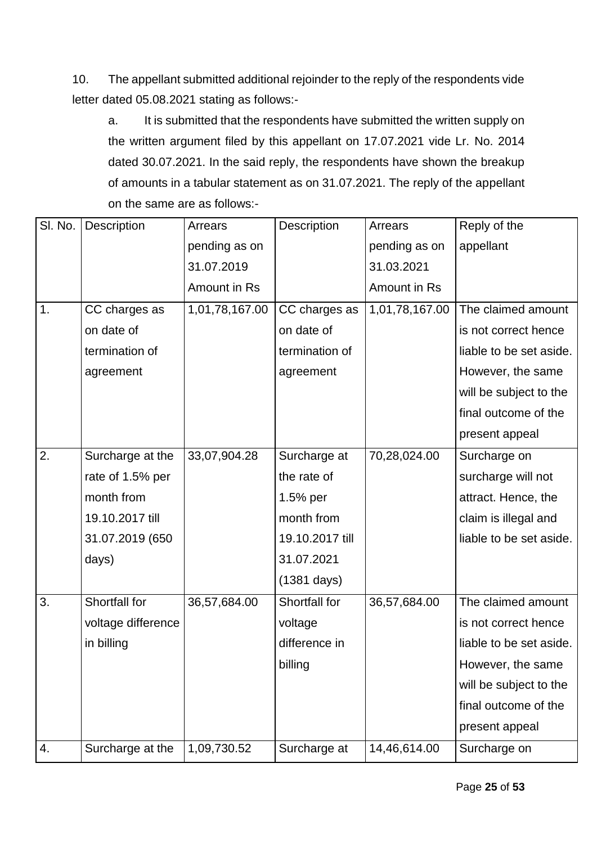10. The appellant submitted additional rejoinder to the reply of the respondents vide letter dated 05.08.2021 stating as follows:-

a. It is submitted that the respondents have submitted the written supply on the written argument filed by this appellant on 17.07.2021 vide Lr. No. 2014 dated 30.07.2021. In the said reply, the respondents have shown the breakup of amounts in a tabular statement as on 31.07.2021. The reply of the appellant on the same are as follows:-

| SI. No. | Description        | Arrears        | Description           | Arrears        | Reply of the            |
|---------|--------------------|----------------|-----------------------|----------------|-------------------------|
|         |                    | pending as on  |                       | pending as on  | appellant               |
|         |                    | 31.07.2019     |                       | 31.03.2021     |                         |
|         |                    | Amount in Rs   |                       | Amount in Rs   |                         |
| 1.      | CC charges as      | 1,01,78,167.00 | CC charges as         | 1,01,78,167.00 | The claimed amount      |
|         | on date of         |                | on date of            |                | is not correct hence    |
|         | termination of     |                | termination of        |                | liable to be set aside. |
|         | agreement          |                | agreement             |                | However, the same       |
|         |                    |                |                       |                | will be subject to the  |
|         |                    |                |                       |                | final outcome of the    |
|         |                    |                |                       |                | present appeal          |
| 2.      | Surcharge at the   | 33,07,904.28   | Surcharge at          | 70,28,024.00   | Surcharge on            |
|         | rate of 1.5% per   |                | the rate of           |                | surcharge will not      |
|         | month from         |                | $1.5%$ per            |                | attract. Hence, the     |
|         | 19.10.2017 till    |                | month from            |                | claim is illegal and    |
|         | 31.07.2019 (650    |                | 19.10.2017 till       |                | liable to be set aside. |
|         | days)              |                | 31.07.2021            |                |                         |
|         |                    |                | $(1381 \text{ days})$ |                |                         |
| 3.      | Shortfall for      | 36,57,684.00   | Shortfall for         | 36,57,684.00   | The claimed amount      |
|         | voltage difference |                | voltage               |                | is not correct hence    |
|         | in billing         |                | difference in         |                | liable to be set aside. |
|         |                    |                | billing               |                | However, the same       |
|         |                    |                |                       |                | will be subject to the  |
|         |                    |                |                       |                | final outcome of the    |
|         |                    |                |                       |                | present appeal          |
| 4.      | Surcharge at the   | 1,09,730.52    | Surcharge at          | 14,46,614.00   | Surcharge on            |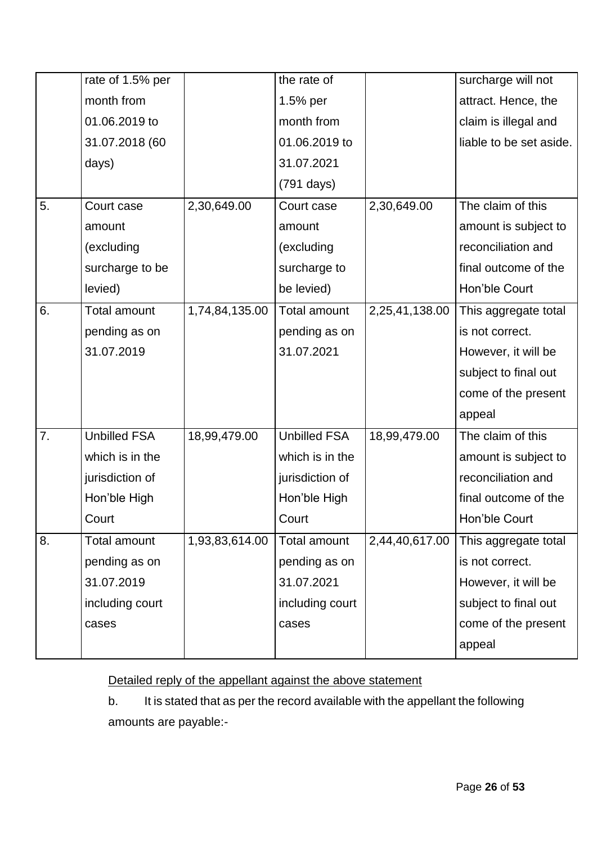|    | rate of 1.5% per    |                | the rate of         |                | surcharge will not      |
|----|---------------------|----------------|---------------------|----------------|-------------------------|
|    | month from          |                | 1.5% per            |                | attract. Hence, the     |
|    | 01.06.2019 to       |                | month from          |                | claim is illegal and    |
|    | 31.07.2018 (60      |                | 01.06.2019 to       |                | liable to be set aside. |
|    | days)               |                | 31.07.2021          |                |                         |
|    |                     |                | (791 days)          |                |                         |
| 5. | Court case          | 2,30,649.00    | Court case          | 2,30,649.00    | The claim of this       |
|    | amount              |                | amount              |                | amount is subject to    |
|    | (excluding          |                | (excluding          |                | reconciliation and      |
|    | surcharge to be     |                | surcharge to        |                | final outcome of the    |
|    | levied)             |                | be levied)          |                | Hon'ble Court           |
| 6. | <b>Total amount</b> | 1,74,84,135.00 | Total amount        | 2,25,41,138.00 | This aggregate total    |
|    | pending as on       |                | pending as on       |                | is not correct.         |
|    | 31.07.2019          |                | 31.07.2021          |                | However, it will be     |
|    |                     |                |                     |                | subject to final out    |
|    |                     |                |                     |                | come of the present     |
|    |                     |                |                     |                | appeal                  |
| 7. | <b>Unbilled FSA</b> | 18,99,479.00   | <b>Unbilled FSA</b> | 18,99,479.00   | The claim of this       |
|    | which is in the     |                | which is in the     |                | amount is subject to    |
|    | jurisdiction of     |                | jurisdiction of     |                | reconciliation and      |
|    | Hon'ble High        |                | Hon'ble High        |                | final outcome of the    |
|    | Court               |                | Court               |                | Hon'ble Court           |
| 8. | <b>Total amount</b> | 1,93,83,614.00 | Total amount        | 2,44,40,617.00 | This aggregate total    |
|    | pending as on       |                | pending as on       |                | is not correct.         |
|    | 31.07.2019          |                | 31.07.2021          |                | However, it will be     |
|    | including court     |                | including court     |                | subject to final out    |
|    | cases               |                | cases               |                | come of the present     |
|    |                     |                |                     |                | appeal                  |
|    |                     |                |                     |                |                         |

Detailed reply of the appellant against the above statement

b. It is stated that as per the record available with the appellant the following amounts are payable:-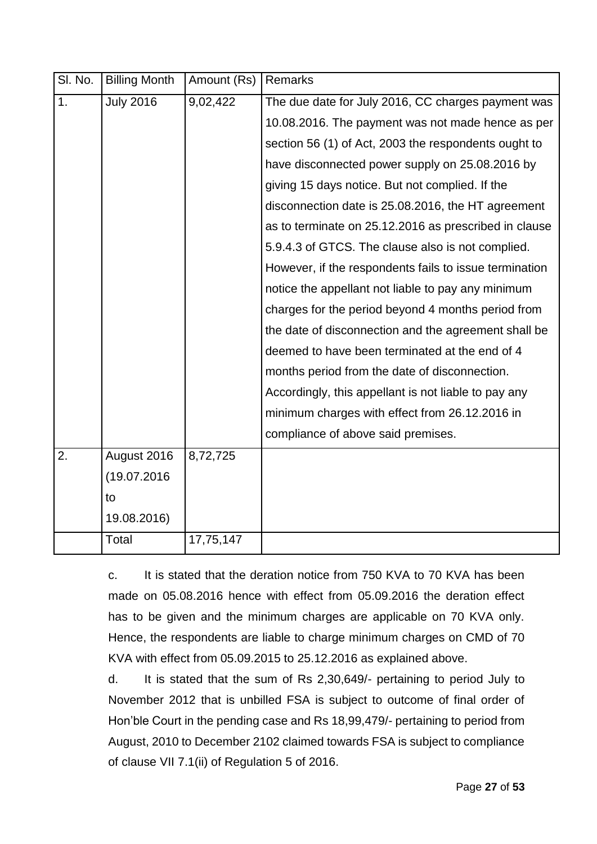| SI. No.          | <b>Billing Month</b> | Amount (Rs) | <b>Remarks</b>                                         |  |
|------------------|----------------------|-------------|--------------------------------------------------------|--|
| 1.               | <b>July 2016</b>     | 9,02,422    | The due date for July 2016, CC charges payment was     |  |
|                  |                      |             | 10.08.2016. The payment was not made hence as per      |  |
|                  |                      |             | section 56 (1) of Act, 2003 the respondents ought to   |  |
|                  |                      |             | have disconnected power supply on 25.08.2016 by        |  |
|                  |                      |             | giving 15 days notice. But not complied. If the        |  |
|                  |                      |             | disconnection date is 25.08.2016, the HT agreement     |  |
|                  |                      |             | as to terminate on 25.12.2016 as prescribed in clause  |  |
|                  |                      |             | 5.9.4.3 of GTCS. The clause also is not complied.      |  |
|                  |                      |             | However, if the respondents fails to issue termination |  |
|                  |                      |             | notice the appellant not liable to pay any minimum     |  |
|                  |                      |             | charges for the period beyond 4 months period from     |  |
|                  |                      |             | the date of disconnection and the agreement shall be   |  |
|                  |                      |             | deemed to have been terminated at the end of 4         |  |
|                  |                      |             | months period from the date of disconnection.          |  |
|                  |                      |             | Accordingly, this appellant is not liable to pay any   |  |
|                  |                      |             | minimum charges with effect from 26.12.2016 in         |  |
|                  |                      |             | compliance of above said premises.                     |  |
| $\overline{2}$ . | August 2016          | 8,72,725    |                                                        |  |
|                  | (19.07.2016          |             |                                                        |  |
|                  | to                   |             |                                                        |  |
|                  | 19.08.2016)          |             |                                                        |  |
|                  | Total                | 17,75,147   |                                                        |  |

c. It is stated that the deration notice from 750 KVA to 70 KVA has been made on 05.08.2016 hence with effect from 05.09.2016 the deration effect has to be given and the minimum charges are applicable on 70 KVA only. Hence, the respondents are liable to charge minimum charges on CMD of 70 KVA with effect from 05.09.2015 to 25.12.2016 as explained above.

d. It is stated that the sum of Rs 2,30,649/- pertaining to period July to November 2012 that is unbilled FSA is subject to outcome of final order of Hon'ble Court in the pending case and Rs 18,99,479/- pertaining to period from August, 2010 to December 2102 claimed towards FSA is subject to compliance of clause VII 7.1(ii) of Regulation 5 of 2016.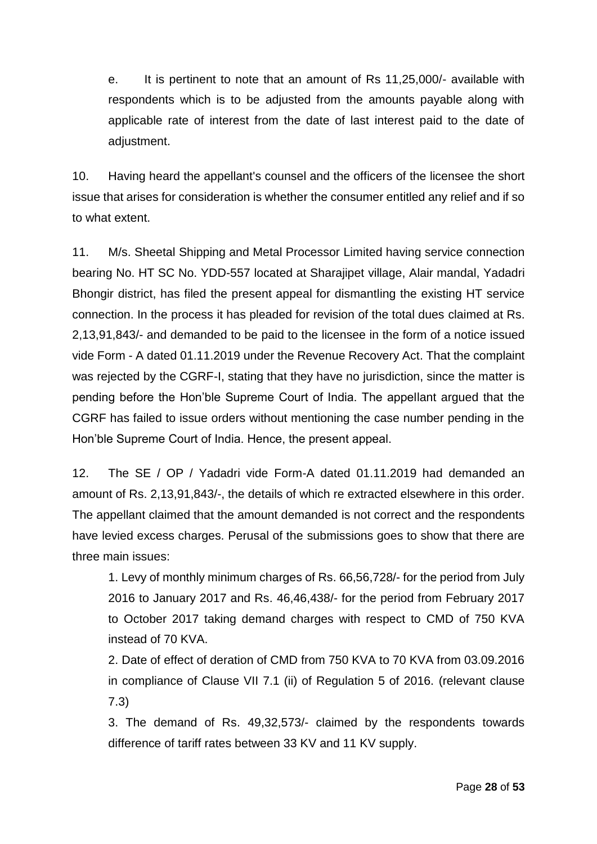e. It is pertinent to note that an amount of Rs 11,25,000/- available with respondents which is to be adjusted from the amounts payable along with applicable rate of interest from the date of last interest paid to the date of adjustment.

10. Having heard the appellant's counsel and the officers of the licensee the short issue that arises for consideration is whether the consumer entitled any relief and if so to what extent.

11. M/s. Sheetal Shipping and Metal Processor Limited having service connection bearing No. HT SC No. YDD-557 located at Sharajipet village, Alair mandal, Yadadri Bhongir district, has filed the present appeal for dismantling the existing HT service connection. In the process it has pleaded for revision of the total dues claimed at Rs. 2,13,91,843/- and demanded to be paid to the licensee in the form of a notice issued vide Form - A dated 01.11.2019 under the Revenue Recovery Act. That the complaint was rejected by the CGRF-I, stating that they have no jurisdiction, since the matter is pending before the Hon'ble Supreme Court of India. The appellant argued that the CGRF has failed to issue orders without mentioning the case number pending in the Hon'ble Supreme Court of India. Hence, the present appeal.

12. The SE / OP / Yadadri vide Form-A dated 01.11.2019 had demanded an amount of Rs. 2,13,91,843/-, the details of which re extracted elsewhere in this order. The appellant claimed that the amount demanded is not correct and the respondents have levied excess charges. Perusal of the submissions goes to show that there are three main issues:

1. Levy of monthly minimum charges of Rs. 66,56,728/- for the period from July 2016 to January 2017 and Rs. 46,46,438/- for the period from February 2017 to October 2017 taking demand charges with respect to CMD of 750 KVA instead of 70 KVA.

2. Date of effect of deration of CMD from 750 KVA to 70 KVA from 03.09.2016 in compliance of Clause VII 7.1 (ii) of Regulation 5 of 2016. (relevant clause 7.3)

3. The demand of Rs. 49,32,573/- claimed by the respondents towards difference of tariff rates between 33 KV and 11 KV supply.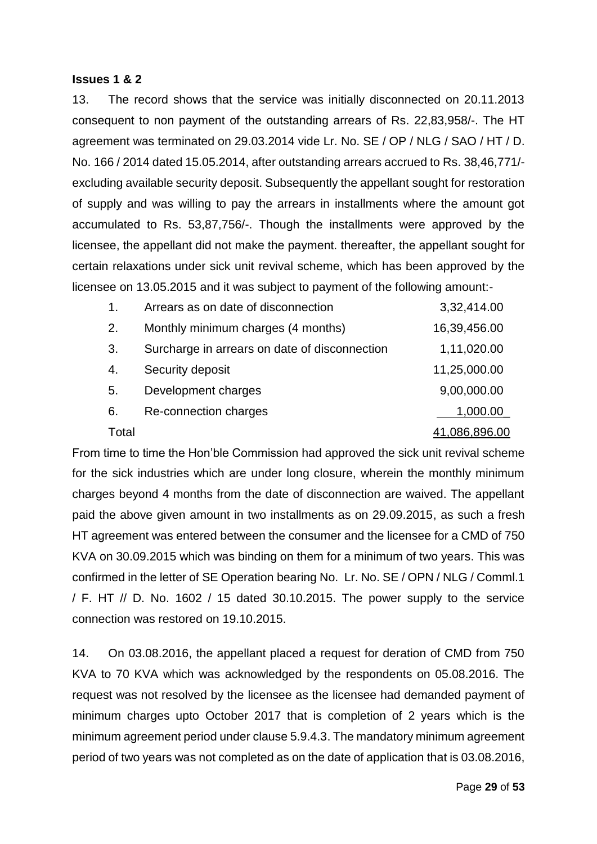#### **Issues 1 & 2**

13. The record shows that the service was initially disconnected on 20.11.2013 consequent to non payment of the outstanding arrears of Rs. 22,83,958/-. The HT agreement was terminated on 29.03.2014 vide Lr. No. SE / OP / NLG / SAO / HT / D. No. 166 / 2014 dated 15.05.2014, after outstanding arrears accrued to Rs. 38,46,771/ excluding available security deposit. Subsequently the appellant sought for restoration of supply and was willing to pay the arrears in installments where the amount got accumulated to Rs. 53,87,756/-. Though the installments were approved by the licensee, the appellant did not make the payment. thereafter, the appellant sought for certain relaxations under sick unit revival scheme, which has been approved by the licensee on 13.05.2015 and it was subject to payment of the following amount:-

| $\mathbf{1}$ . | Arrears as on date of disconnection           | 3,32,414.00   |
|----------------|-----------------------------------------------|---------------|
| 2.             | Monthly minimum charges (4 months)            | 16,39,456.00  |
| 3.             | Surcharge in arrears on date of disconnection | 1,11,020.00   |
| 4.             | Security deposit                              | 11,25,000.00  |
| 5.             | Development charges                           | 9,00,000.00   |
| 6.             | Re-connection charges                         | 1,000.00      |
| Total          |                                               | 41,086,896.00 |

From time to time the Hon'ble Commission had approved the sick unit revival scheme for the sick industries which are under long closure, wherein the monthly minimum charges beyond 4 months from the date of disconnection are waived. The appellant paid the above given amount in two installments as on 29.09.2015, as such a fresh HT agreement was entered between the consumer and the licensee for a CMD of 750 KVA on 30.09.2015 which was binding on them for a minimum of two years. This was confirmed in the letter of SE Operation bearing No. Lr. No. SE / OPN / NLG / Comml.1 / F. HT // D. No. 1602 / 15 dated 30.10.2015. The power supply to the service connection was restored on 19.10.2015.

14. On 03.08.2016, the appellant placed a request for deration of CMD from 750 KVA to 70 KVA which was acknowledged by the respondents on 05.08.2016. The request was not resolved by the licensee as the licensee had demanded payment of minimum charges upto October 2017 that is completion of 2 years which is the minimum agreement period under clause 5.9.4.3. The mandatory minimum agreement period of two years was not completed as on the date of application that is 03.08.2016,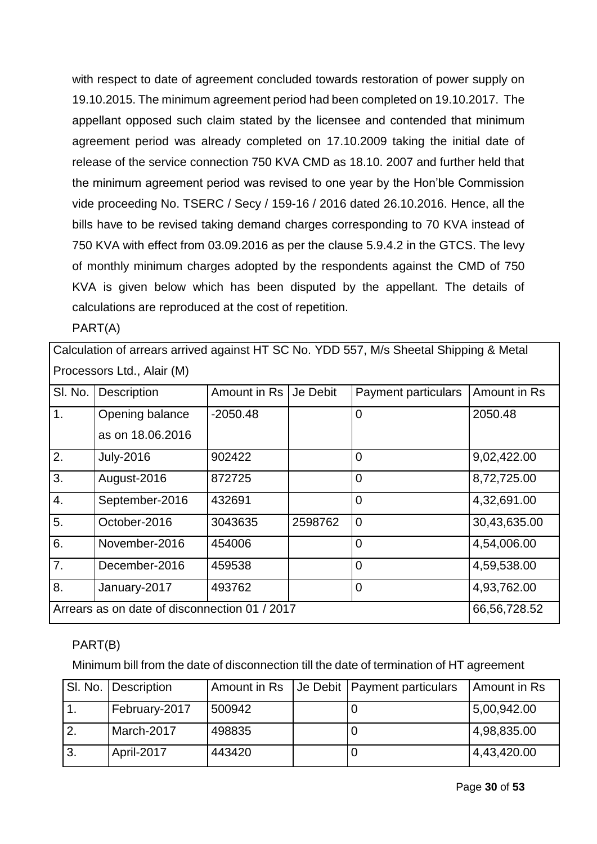with respect to date of agreement concluded towards restoration of power supply on 19.10.2015. The minimum agreement period had been completed on 19.10.2017. The appellant opposed such claim stated by the licensee and contended that minimum agreement period was already completed on 17.10.2009 taking the initial date of release of the service connection 750 KVA CMD as 18.10. 2007 and further held that the minimum agreement period was revised to one year by the Hon'ble Commission vide proceeding No. TSERC / Secy / 159-16 / 2016 dated 26.10.2016. Hence, all the bills have to be revised taking demand charges corresponding to 70 KVA instead of 750 KVA with effect from 03.09.2016 as per the clause 5.9.4.2 in the GTCS. The levy of monthly minimum charges adopted by the respondents against the CMD of 750 KVA is given below which has been disputed by the appellant. The details of calculations are reproduced at the cost of repetition.

| PART(A) |  |
|---------|--|

|                            |                                     |              |          | Calculation of arrears arrived against HT SC No. YDD 557, M/s Sheetal Shipping & Metal |              |
|----------------------------|-------------------------------------|--------------|----------|----------------------------------------------------------------------------------------|--------------|
| Processors Ltd., Alair (M) |                                     |              |          |                                                                                        |              |
| SI. No.                    | <b>Description</b>                  | Amount in Rs | Je Debit | Payment particulars                                                                    | Amount in Rs |
| 1.                         | Opening balance<br>as on 18.06.2016 | $-2050.48$   |          | $\overline{0}$                                                                         | 2050.48      |
| $\overline{2}$ .           | <b>July-2016</b>                    | 902422       |          | 0                                                                                      | 9,02,422.00  |
| 3.                         | August-2016                         | 872725       |          | $\overline{0}$                                                                         | 8,72,725.00  |
| $\overline{4}$ .           | September-2016                      | 432691       |          | $\overline{0}$                                                                         | 4,32,691.00  |
| $\overline{5}$ .           | October-2016                        | 3043635      | 2598762  | $\overline{0}$                                                                         | 30,43,635.00 |
| 6.                         | November-2016                       | 454006       |          | $\overline{0}$                                                                         | 4,54,006.00  |
| $\overline{7}$ .           | December-2016                       | 459538       |          | $\overline{0}$                                                                         | 4,59,538.00  |
| 8.                         | January-2017                        | 493762       |          | 0                                                                                      | 4,93,762.00  |

## PART(B)

Minimum bill from the date of disconnection till the date of termination of HT agreement

Arrears as on date of disconnection 01 / 2017 66,56,728.52

| SI. No. Description | Amount in Rs | Je Debit   Payment particulars | Amount in Rs |
|---------------------|--------------|--------------------------------|--------------|
| February-2017       | 500942       |                                | 5,00,942.00  |
| March-2017          | 498835       |                                | 4,98,835.00  |
| April-2017          | 443420       |                                | 4,43,420.00  |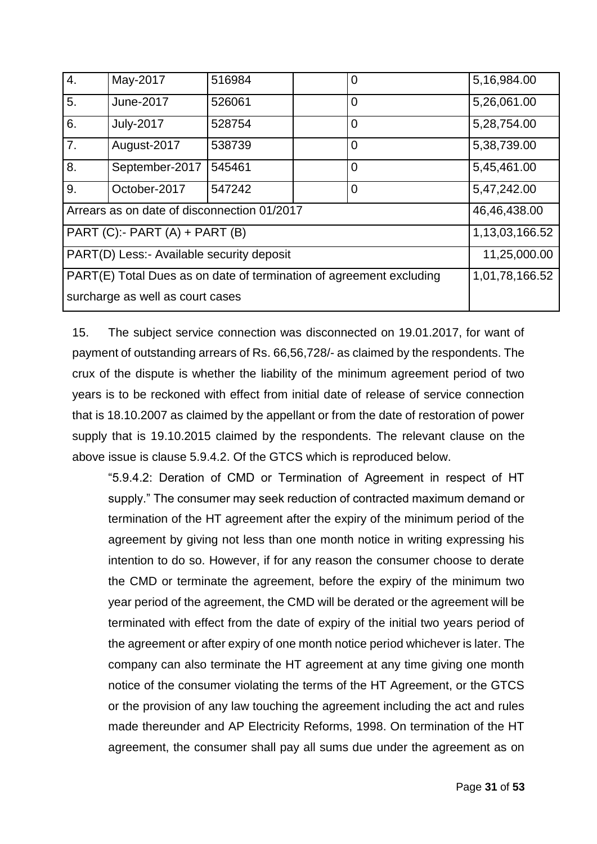| 4.                                                                  | May-2017         | 516984 |                | $\overline{0}$ | 5,16,984.00 |
|---------------------------------------------------------------------|------------------|--------|----------------|----------------|-------------|
| 5.                                                                  | June-2017        | 526061 |                | 0              | 5,26,061.00 |
| 6.                                                                  | <b>July-2017</b> | 528754 |                | $\overline{0}$ | 5,28,754.00 |
| 7.                                                                  | August-2017      | 538739 |                | 0              | 5,38,739.00 |
| 8.                                                                  | September-2017   | 545461 |                | $\Omega$       | 5,45,461.00 |
| 9.                                                                  | October-2017     | 547242 |                | 0              | 5,47,242.00 |
| Arrears as on date of disconnection 01/2017                         |                  |        |                | 46,46,438.00   |             |
| PART (C):- PART (A) + PART (B)                                      |                  |        |                | 1,13,03,166.52 |             |
| PART(D) Less:- Available security deposit                           |                  |        |                | 11,25,000.00   |             |
| PART(E) Total Dues as on date of termination of agreement excluding |                  |        | 1,01,78,166.52 |                |             |
| surcharge as well as court cases                                    |                  |        |                |                |             |

15. The subject service connection was disconnected on 19.01.2017, for want of payment of outstanding arrears of Rs. 66,56,728/- as claimed by the respondents. The crux of the dispute is whether the liability of the minimum agreement period of two years is to be reckoned with effect from initial date of release of service connection that is 18.10.2007 as claimed by the appellant or from the date of restoration of power supply that is 19.10.2015 claimed by the respondents. The relevant clause on the above issue is clause 5.9.4.2. Of the GTCS which is reproduced below.

"5.9.4.2: Deration of CMD or Termination of Agreement in respect of HT supply." The consumer may seek reduction of contracted maximum demand or termination of the HT agreement after the expiry of the minimum period of the agreement by giving not less than one month notice in writing expressing his intention to do so. However, if for any reason the consumer choose to derate the CMD or terminate the agreement, before the expiry of the minimum two year period of the agreement, the CMD will be derated or the agreement will be terminated with effect from the date of expiry of the initial two years period of the agreement or after expiry of one month notice period whichever is later. The company can also terminate the HT agreement at any time giving one month notice of the consumer violating the terms of the HT Agreement, or the GTCS or the provision of any law touching the agreement including the act and rules made thereunder and AP Electricity Reforms, 1998. On termination of the HT agreement, the consumer shall pay all sums due under the agreement as on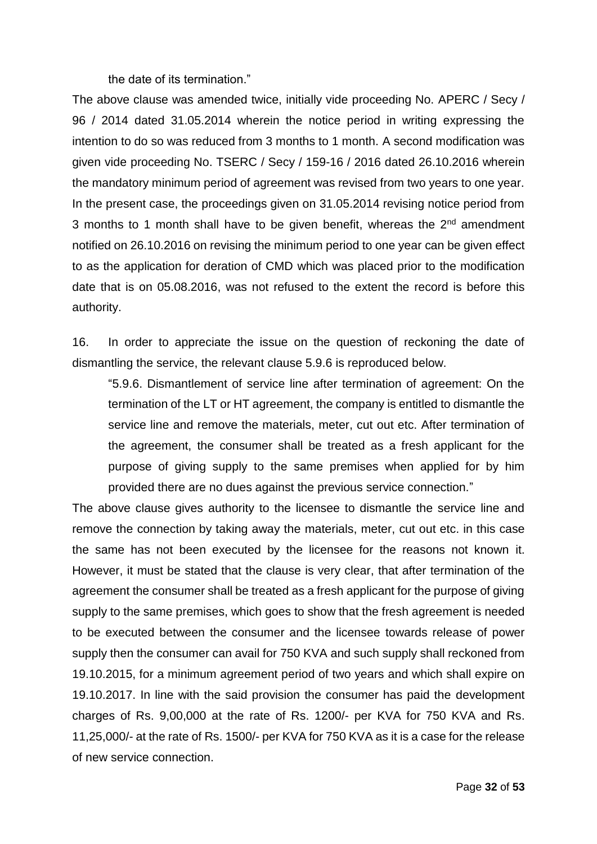the date of its termination."

The above clause was amended twice, initially vide proceeding No. APERC / Secy / 96 / 2014 dated 31.05.2014 wherein the notice period in writing expressing the intention to do so was reduced from 3 months to 1 month. A second modification was given vide proceeding No. TSERC / Secy / 159-16 / 2016 dated 26.10.2016 wherein the mandatory minimum period of agreement was revised from two years to one year. In the present case, the proceedings given on 31.05.2014 revising notice period from 3 months to 1 month shall have to be given benefit, whereas the  $2<sup>nd</sup>$  amendment notified on 26.10.2016 on revising the minimum period to one year can be given effect to as the application for deration of CMD which was placed prior to the modification date that is on 05.08.2016, was not refused to the extent the record is before this authority.

16. In order to appreciate the issue on the question of reckoning the date of dismantling the service, the relevant clause 5.9.6 is reproduced below.

"5.9.6. Dismantlement of service line after termination of agreement: On the termination of the LT or HT agreement, the company is entitled to dismantle the service line and remove the materials, meter, cut out etc. After termination of the agreement, the consumer shall be treated as a fresh applicant for the purpose of giving supply to the same premises when applied for by him provided there are no dues against the previous service connection."

The above clause gives authority to the licensee to dismantle the service line and remove the connection by taking away the materials, meter, cut out etc. in this case the same has not been executed by the licensee for the reasons not known it. However, it must be stated that the clause is very clear, that after termination of the agreement the consumer shall be treated as a fresh applicant for the purpose of giving supply to the same premises, which goes to show that the fresh agreement is needed to be executed between the consumer and the licensee towards release of power supply then the consumer can avail for 750 KVA and such supply shall reckoned from 19.10.2015, for a minimum agreement period of two years and which shall expire on 19.10.2017. In line with the said provision the consumer has paid the development charges of Rs. 9,00,000 at the rate of Rs. 1200/- per KVA for 750 KVA and Rs. 11,25,000/- at the rate of Rs. 1500/- per KVA for 750 KVA as it is a case for the release of new service connection.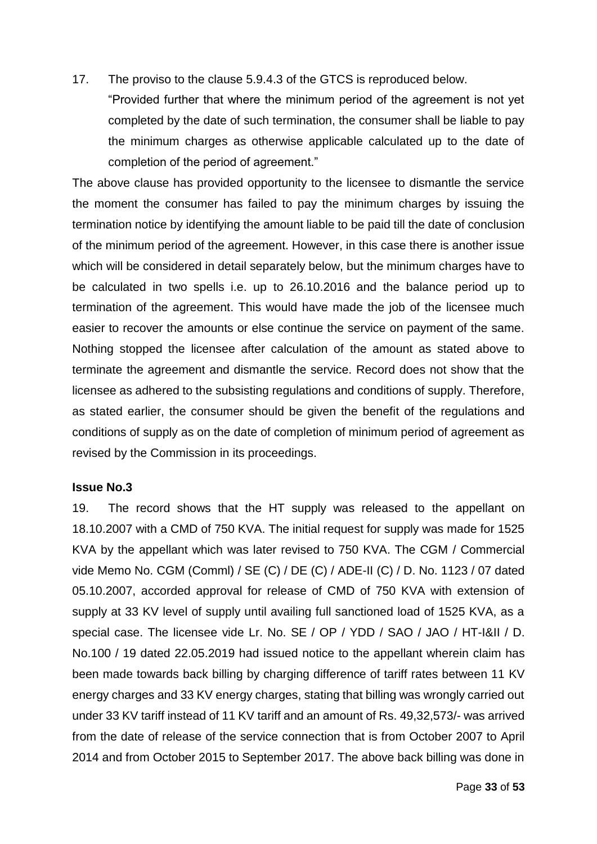17. The proviso to the clause 5.9.4.3 of the GTCS is reproduced below.

"Provided further that where the minimum period of the agreement is not yet completed by the date of such termination, the consumer shall be liable to pay the minimum charges as otherwise applicable calculated up to the date of completion of the period of agreement."

The above clause has provided opportunity to the licensee to dismantle the service the moment the consumer has failed to pay the minimum charges by issuing the termination notice by identifying the amount liable to be paid till the date of conclusion of the minimum period of the agreement. However, in this case there is another issue which will be considered in detail separately below, but the minimum charges have to be calculated in two spells i.e. up to 26.10.2016 and the balance period up to termination of the agreement. This would have made the job of the licensee much easier to recover the amounts or else continue the service on payment of the same. Nothing stopped the licensee after calculation of the amount as stated above to terminate the agreement and dismantle the service. Record does not show that the licensee as adhered to the subsisting regulations and conditions of supply. Therefore, as stated earlier, the consumer should be given the benefit of the regulations and conditions of supply as on the date of completion of minimum period of agreement as revised by the Commission in its proceedings.

#### **Issue No.3**

19. The record shows that the HT supply was released to the appellant on 18.10.2007 with a CMD of 750 KVA. The initial request for supply was made for 1525 KVA by the appellant which was later revised to 750 KVA. The CGM / Commercial vide Memo No. CGM (Comml) / SE (C) / DE (C) / ADE-II (C) / D. No. 1123 / 07 dated 05.10.2007, accorded approval for release of CMD of 750 KVA with extension of supply at 33 KV level of supply until availing full sanctioned load of 1525 KVA, as a special case. The licensee vide Lr. No. SE / OP / YDD / SAO / JAO / HT-I&II / D. No.100 / 19 dated 22.05.2019 had issued notice to the appellant wherein claim has been made towards back billing by charging difference of tariff rates between 11 KV energy charges and 33 KV energy charges, stating that billing was wrongly carried out under 33 KV tariff instead of 11 KV tariff and an amount of Rs. 49,32,573/- was arrived from the date of release of the service connection that is from October 2007 to April 2014 and from October 2015 to September 2017. The above back billing was done in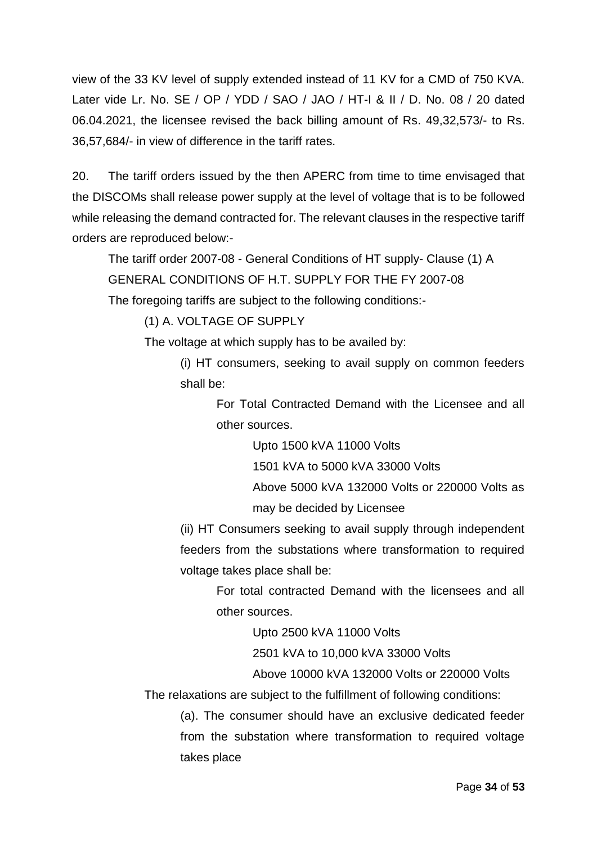view of the 33 KV level of supply extended instead of 11 KV for a CMD of 750 KVA. Later vide Lr. No. SE / OP / YDD / SAO / JAO / HT-I & II / D. No. 08 / 20 dated 06.04.2021, the licensee revised the back billing amount of Rs. 49,32,573/- to Rs. 36,57,684/- in view of difference in the tariff rates.

20. The tariff orders issued by the then APERC from time to time envisaged that the DISCOMs shall release power supply at the level of voltage that is to be followed while releasing the demand contracted for. The relevant clauses in the respective tariff orders are reproduced below:-

The tariff order 2007-08 - General Conditions of HT supply- Clause (1) A GENERAL CONDITIONS OF H.T. SUPPLY FOR THE FY 2007-08

The foregoing tariffs are subject to the following conditions:-

(1) A. VOLTAGE OF SUPPLY

The voltage at which supply has to be availed by:

(i) HT consumers, seeking to avail supply on common feeders shall be:

For Total Contracted Demand with the Licensee and all other sources.

Upto 1500 kVA 11000 Volts

1501 kVA to 5000 kVA 33000 Volts

Above 5000 kVA 132000 Volts or 220000 Volts as may be decided by Licensee

(ii) HT Consumers seeking to avail supply through independent feeders from the substations where transformation to required voltage takes place shall be:

> For total contracted Demand with the licensees and all other sources.

> > Upto 2500 kVA 11000 Volts

2501 kVA to 10,000 kVA 33000 Volts

Above 10000 kVA 132000 Volts or 220000 Volts

The relaxations are subject to the fulfillment of following conditions:

(a). The consumer should have an exclusive dedicated feeder from the substation where transformation to required voltage takes place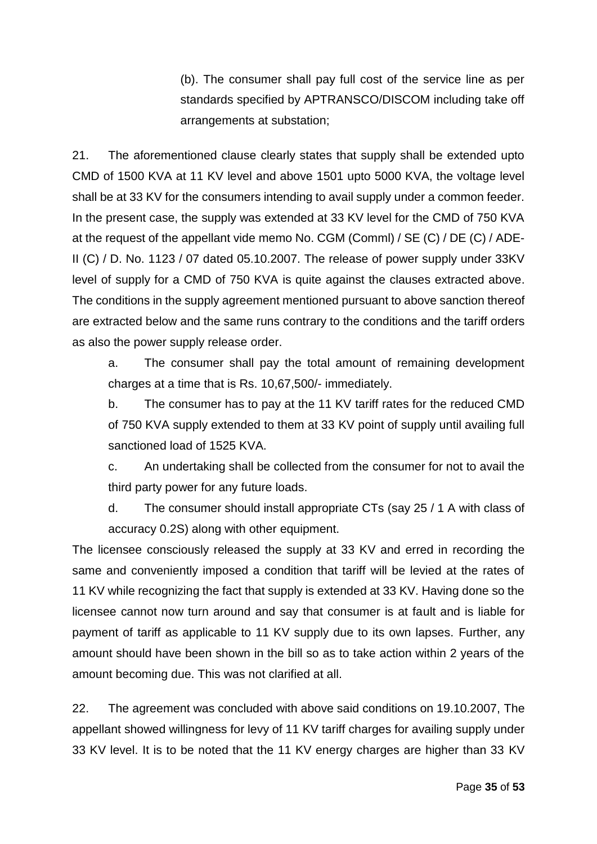(b). The consumer shall pay full cost of the service line as per standards specified by APTRANSCO/DISCOM including take off arrangements at substation;

21. The aforementioned clause clearly states that supply shall be extended upto CMD of 1500 KVA at 11 KV level and above 1501 upto 5000 KVA, the voltage level shall be at 33 KV for the consumers intending to avail supply under a common feeder. In the present case, the supply was extended at 33 KV level for the CMD of 750 KVA at the request of the appellant vide memo No. CGM (Comml) / SE (C) / DE (C) / ADE-II (C) / D. No. 1123 / 07 dated 05.10.2007. The release of power supply under 33KV level of supply for a CMD of 750 KVA is quite against the clauses extracted above. The conditions in the supply agreement mentioned pursuant to above sanction thereof are extracted below and the same runs contrary to the conditions and the tariff orders as also the power supply release order.

a. The consumer shall pay the total amount of remaining development charges at a time that is Rs. 10,67,500/- immediately.

b. The consumer has to pay at the 11 KV tariff rates for the reduced CMD of 750 KVA supply extended to them at 33 KV point of supply until availing full sanctioned load of 1525 KVA.

c. An undertaking shall be collected from the consumer for not to avail the third party power for any future loads.

d. The consumer should install appropriate CTs (say 25 / 1 A with class of accuracy 0.2S) along with other equipment.

The licensee consciously released the supply at 33 KV and erred in recording the same and conveniently imposed a condition that tariff will be levied at the rates of 11 KV while recognizing the fact that supply is extended at 33 KV. Having done so the licensee cannot now turn around and say that consumer is at fault and is liable for payment of tariff as applicable to 11 KV supply due to its own lapses. Further, any amount should have been shown in the bill so as to take action within 2 years of the amount becoming due. This was not clarified at all.

22. The agreement was concluded with above said conditions on 19.10.2007, The appellant showed willingness for levy of 11 KV tariff charges for availing supply under 33 KV level. It is to be noted that the 11 KV energy charges are higher than 33 KV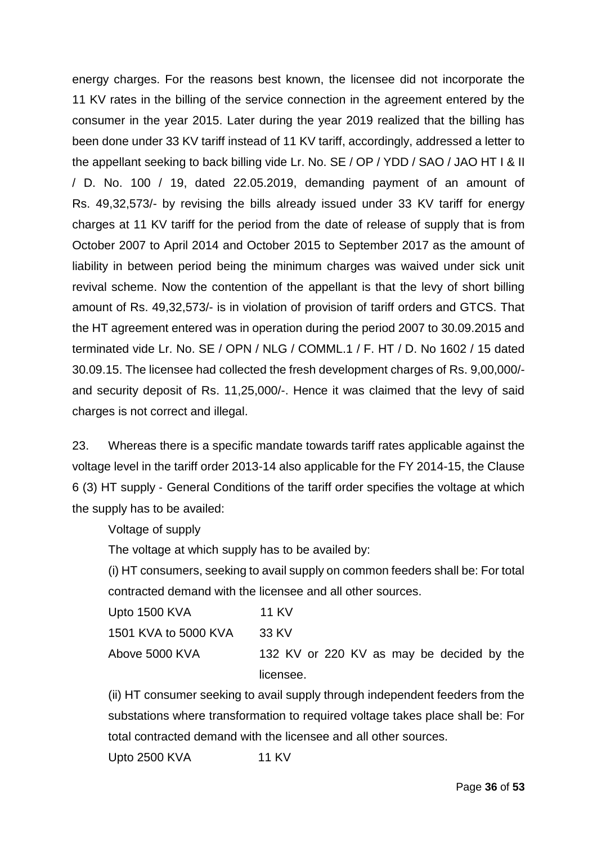energy charges. For the reasons best known, the licensee did not incorporate the 11 KV rates in the billing of the service connection in the agreement entered by the consumer in the year 2015. Later during the year 2019 realized that the billing has been done under 33 KV tariff instead of 11 KV tariff, accordingly, addressed a letter to the appellant seeking to back billing vide Lr. No. SE / OP / YDD / SAO / JAO HT I & II / D. No. 100 / 19, dated 22.05.2019, demanding payment of an amount of Rs. 49,32,573/- by revising the bills already issued under 33 KV tariff for energy charges at 11 KV tariff for the period from the date of release of supply that is from October 2007 to April 2014 and October 2015 to September 2017 as the amount of liability in between period being the minimum charges was waived under sick unit revival scheme. Now the contention of the appellant is that the levy of short billing amount of Rs. 49,32,573/- is in violation of provision of tariff orders and GTCS. That the HT agreement entered was in operation during the period 2007 to 30.09.2015 and terminated vide Lr. No. SE / OPN / NLG / COMML.1 / F. HT / D. No 1602 / 15 dated 30.09.15. The licensee had collected the fresh development charges of Rs. 9,00,000/ and security deposit of Rs. 11,25,000/-. Hence it was claimed that the levy of said charges is not correct and illegal.

23. Whereas there is a specific mandate towards tariff rates applicable against the voltage level in the tariff order 2013-14 also applicable for the FY 2014-15, the Clause 6 (3) HT supply ‐ General Conditions of the tariff order specifies the voltage at which the supply has to be availed:

Voltage of supply

The voltage at which supply has to be availed by:

(i) HT consumers, seeking to avail supply on common feeders shall be: For total contracted demand with the licensee and all other sources.

| Upto 1500 KVA        | 11 KV                                     |
|----------------------|-------------------------------------------|
| 1501 KVA to 5000 KVA | 33 KV                                     |
| Above 5000 KVA       | 132 KV or 220 KV as may be decided by the |
|                      | licensee.                                 |

(ii) HT consumer seeking to avail supply through independent feeders from the substations where transformation to required voltage takes place shall be: For total contracted demand with the licensee and all other sources.

Upto 2500 KVA 11 KV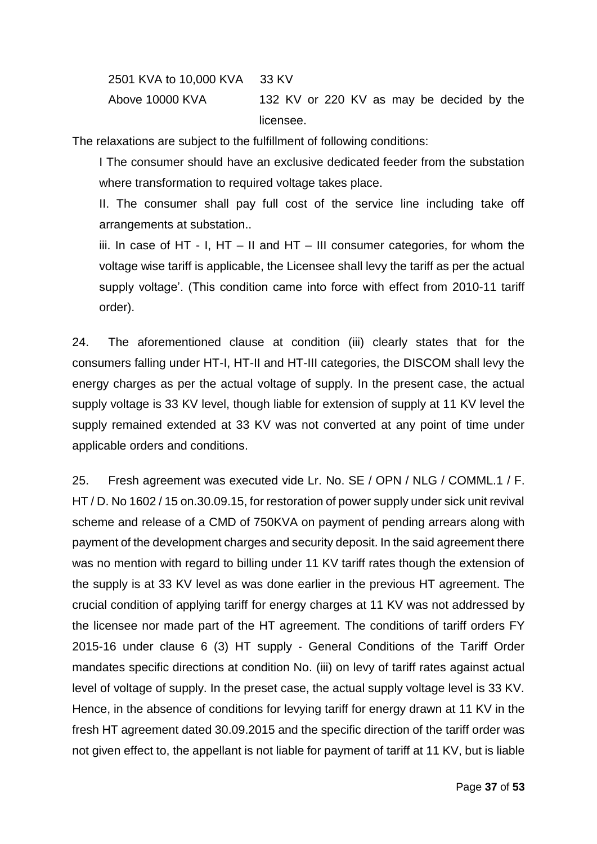2501 KVA to 10,000 KVA 33 KV Above 10000 KVA 132 KV or 220 KV as may be decided by the licensee.

The relaxations are subject to the fulfillment of following conditions:

I The consumer should have an exclusive dedicated feeder from the substation where transformation to required voltage takes place.

II. The consumer shall pay full cost of the service line including take off arrangements at substation..

iii. In case of HT - I, HT  $-$  II and HT  $-$  III consumer categories, for whom the voltage wise tariff is applicable, the Licensee shall levy the tariff as per the actual supply voltage'. (This condition came into force with effect from 2010-11 tariff order).

24. The aforementioned clause at condition (iii) clearly states that for the consumers falling under HT-I, HT-II and HT-III categories, the DISCOM shall levy the energy charges as per the actual voltage of supply. In the present case, the actual supply voltage is 33 KV level, though liable for extension of supply at 11 KV level the supply remained extended at 33 KV was not converted at any point of time under applicable orders and conditions.

25. Fresh agreement was executed vide Lr. No. SE / OPN / NLG / COMML.1 / F. HT / D. No 1602 / 15 on.30.09.15, for restoration of power supply under sick unit revival scheme and release of a CMD of 750KVA on payment of pending arrears along with payment of the development charges and security deposit. In the said agreement there was no mention with regard to billing under 11 KV tariff rates though the extension of the supply is at 33 KV level as was done earlier in the previous HT agreement. The crucial condition of applying tariff for energy charges at 11 KV was not addressed by the licensee nor made part of the HT agreement. The conditions of tariff orders FY 2015-16 under clause 6 (3) HT supply ‐ General Conditions of the Tariff Order mandates specific directions at condition No. (iii) on levy of tariff rates against actual level of voltage of supply. In the preset case, the actual supply voltage level is 33 KV. Hence, in the absence of conditions for levying tariff for energy drawn at 11 KV in the fresh HT agreement dated 30.09.2015 and the specific direction of the tariff order was not given effect to, the appellant is not liable for payment of tariff at 11 KV, but is liable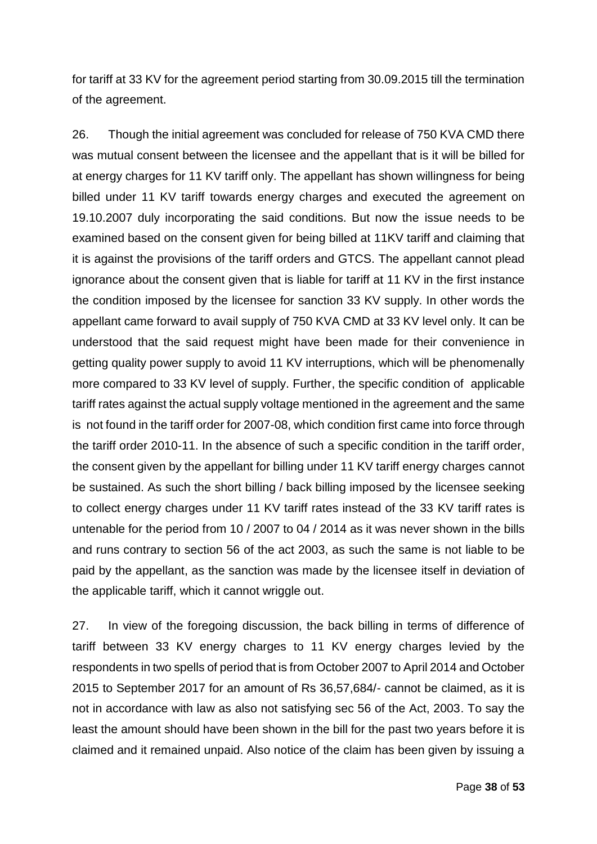for tariff at 33 KV for the agreement period starting from 30.09.2015 till the termination of the agreement.

26. Though the initial agreement was concluded for release of 750 KVA CMD there was mutual consent between the licensee and the appellant that is it will be billed for at energy charges for 11 KV tariff only. The appellant has shown willingness for being billed under 11 KV tariff towards energy charges and executed the agreement on 19.10.2007 duly incorporating the said conditions. But now the issue needs to be examined based on the consent given for being billed at 11KV tariff and claiming that it is against the provisions of the tariff orders and GTCS. The appellant cannot plead ignorance about the consent given that is liable for tariff at 11 KV in the first instance the condition imposed by the licensee for sanction 33 KV supply. In other words the appellant came forward to avail supply of 750 KVA CMD at 33 KV level only. It can be understood that the said request might have been made for their convenience in getting quality power supply to avoid 11 KV interruptions, which will be phenomenally more compared to 33 KV level of supply. Further, the specific condition of applicable tariff rates against the actual supply voltage mentioned in the agreement and the same is not found in the tariff order for 2007-08, which condition first came into force through the tariff order 2010-11. In the absence of such a specific condition in the tariff order, the consent given by the appellant for billing under 11 KV tariff energy charges cannot be sustained. As such the short billing / back billing imposed by the licensee seeking to collect energy charges under 11 KV tariff rates instead of the 33 KV tariff rates is untenable for the period from 10 / 2007 to 04 / 2014 as it was never shown in the bills and runs contrary to section 56 of the act 2003, as such the same is not liable to be paid by the appellant, as the sanction was made by the licensee itself in deviation of the applicable tariff, which it cannot wriggle out.

27. In view of the foregoing discussion, the back billing in terms of difference of tariff between 33 KV energy charges to 11 KV energy charges levied by the respondents in two spells of period that is from October 2007 to April 2014 and October 2015 to September 2017 for an amount of Rs 36,57,684/- cannot be claimed, as it is not in accordance with law as also not satisfying sec 56 of the Act, 2003. To say the least the amount should have been shown in the bill for the past two years before it is claimed and it remained unpaid. Also notice of the claim has been given by issuing a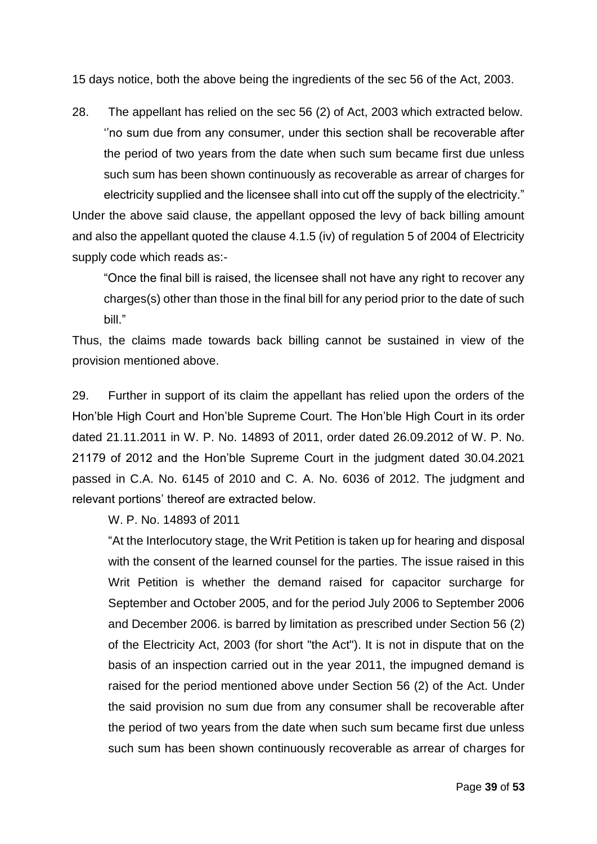15 days notice, both the above being the ingredients of the sec 56 of the Act, 2003.

28. The appellant has relied on the sec 56 (2) of Act, 2003 which extracted below. ''no sum due from any consumer, under this section shall be recoverable after the period of two years from the date when such sum became first due unless such sum has been shown continuously as recoverable as arrear of charges for electricity supplied and the licensee shall into cut off the supply of the electricity."

Under the above said clause, the appellant opposed the levy of back billing amount and also the appellant quoted the clause 4.1.5 (iv) of regulation 5 of 2004 of Electricity supply code which reads as:-

"Once the final bill is raised, the licensee shall not have any right to recover any charges(s) other than those in the final bill for any period prior to the date of such bill."

Thus, the claims made towards back billing cannot be sustained in view of the provision mentioned above.

29. Further in support of its claim the appellant has relied upon the orders of the Hon'ble High Court and Hon'ble Supreme Court. The Hon'ble High Court in its order dated 21.11.2011 in W. P. No. 14893 of 2011, order dated 26.09.2012 of W. P. No. 21179 of 2012 and the Hon'ble Supreme Court in the judgment dated 30.04.2021 passed in C.A. No. 6145 of 2010 and C. A. No. 6036 of 2012. The judgment and relevant portions' thereof are extracted below.

W. P. No. 14893 of 2011

"At the Interlocutory stage, the Writ Petition is taken up for hearing and disposal with the consent of the learned counsel for the parties. The issue raised in this Writ Petition is whether the demand raised for capacitor surcharge for September and October 2005, and for the period July 2006 to September 2006 and December 2006. is barred by limitation as prescribed under Section 56 (2) of the Electricity Act, 2003 (for short "the Act"). It is not in dispute that on the basis of an inspection carried out in the year 2011, the impugned demand is raised for the period mentioned above under Section 56 (2) of the Act. Under the said provision no sum due from any consumer shall be recoverable after the period of two years from the date when such sum became first due unless such sum has been shown continuously recoverable as arrear of charges for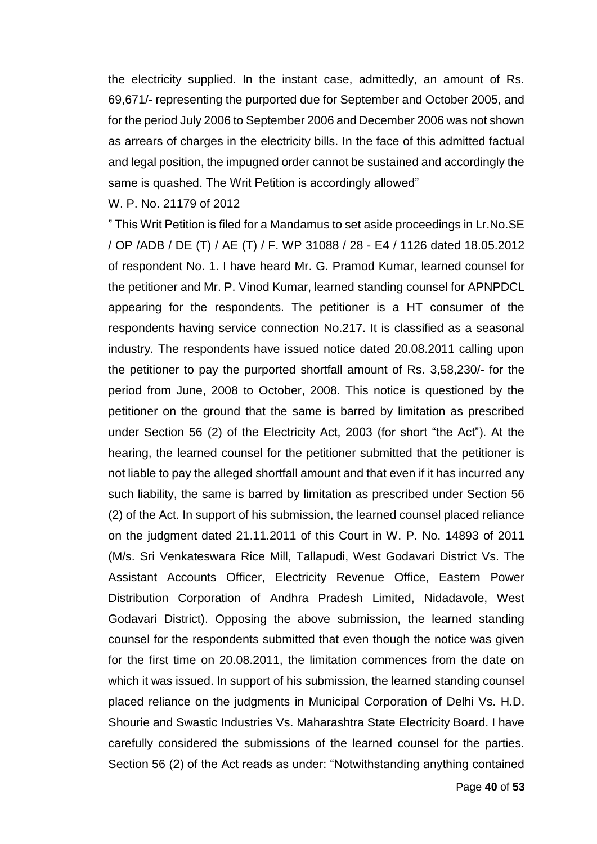the electricity supplied. In the instant case, admittedly, an amount of Rs. 69,671/- representing the purported due for September and October 2005, and for the period July 2006 to September 2006 and December 2006 was not shown as arrears of charges in the electricity bills. In the face of this admitted factual and legal position, the impugned order cannot be sustained and accordingly the same is quashed. The Writ Petition is accordingly allowed"

#### W. P. No. 21179 of 2012

" This Writ Petition is filed for a Mandamus to set aside proceedings in Lr.No.SE / OP /ADB / DE (T) / AE (T) / F. WP 31088 / 28 - E4 / 1126 dated 18.05.2012 of respondent No. 1. I have heard Mr. G. Pramod Kumar, learned counsel for the petitioner and Mr. P. Vinod Kumar, learned standing counsel for APNPDCL appearing for the respondents. The petitioner is a HT consumer of the respondents having service connection No.217. It is classified as a seasonal industry. The respondents have issued notice dated 20.08.2011 calling upon the petitioner to pay the purported shortfall amount of Rs. 3,58,230/- for the period from June, 2008 to October, 2008. This notice is questioned by the petitioner on the ground that the same is barred by limitation as prescribed under Section 56 (2) of the Electricity Act, 2003 (for short "the Act"). At the hearing, the learned counsel for the petitioner submitted that the petitioner is not liable to pay the alleged shortfall amount and that even if it has incurred any such liability, the same is barred by limitation as prescribed under Section 56 (2) of the Act. In support of his submission, the learned counsel placed reliance on the judgment dated 21.11.2011 of this Court in W. P. No. 14893 of 2011 (M/s. Sri Venkateswara Rice Mill, Tallapudi, West Godavari District Vs. The Assistant Accounts Officer, Electricity Revenue Office, Eastern Power Distribution Corporation of Andhra Pradesh Limited, Nidadavole, West Godavari District). Opposing the above submission, the learned standing counsel for the respondents submitted that even though the notice was given for the first time on 20.08.2011, the limitation commences from the date on which it was issued. In support of his submission, the learned standing counsel placed reliance on the judgments in Municipal Corporation of Delhi Vs. H.D. Shourie and Swastic Industries Vs. Maharashtra State Electricity Board. I have carefully considered the submissions of the learned counsel for the parties. Section 56 (2) of the Act reads as under: "Notwithstanding anything contained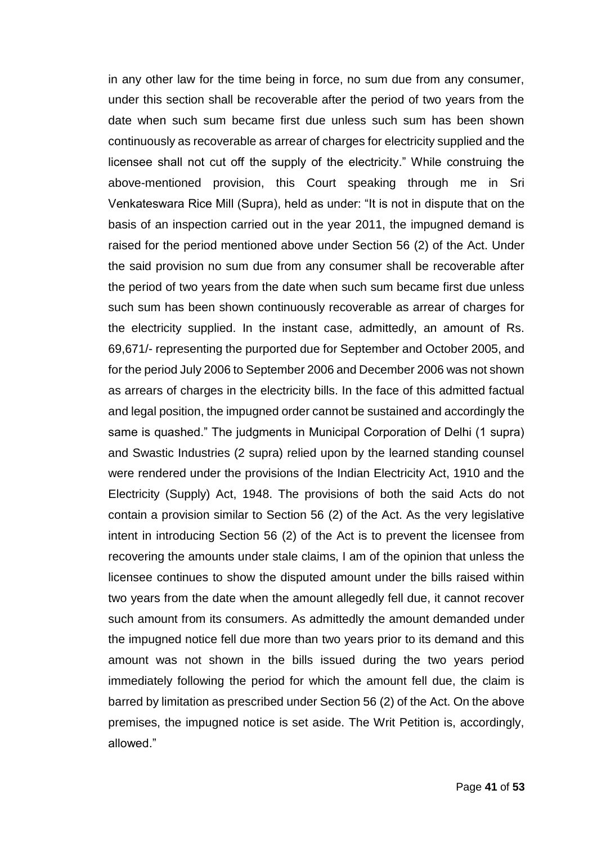in any other law for the time being in force, no sum due from any consumer, under this section shall be recoverable after the period of two years from the date when such sum became first due unless such sum has been shown continuously as recoverable as arrear of charges for electricity supplied and the licensee shall not cut off the supply of the electricity." While construing the above-mentioned provision, this Court speaking through me in Sri Venkateswara Rice Mill (Supra), held as under: "It is not in dispute that on the basis of an inspection carried out in the year 2011, the impugned demand is raised for the period mentioned above under Section 56 (2) of the Act. Under the said provision no sum due from any consumer shall be recoverable after the period of two years from the date when such sum became first due unless such sum has been shown continuously recoverable as arrear of charges for the electricity supplied. In the instant case, admittedly, an amount of Rs. 69,671/- representing the purported due for September and October 2005, and for the period July 2006 to September 2006 and December 2006 was not shown as arrears of charges in the electricity bills. In the face of this admitted factual and legal position, the impugned order cannot be sustained and accordingly the same is quashed." The judgments in Municipal Corporation of Delhi (1 supra) and Swastic Industries (2 supra) relied upon by the learned standing counsel were rendered under the provisions of the Indian Electricity Act, 1910 and the Electricity (Supply) Act, 1948. The provisions of both the said Acts do not contain a provision similar to Section 56 (2) of the Act. As the very legislative intent in introducing Section 56 (2) of the Act is to prevent the licensee from recovering the amounts under stale claims, I am of the opinion that unless the licensee continues to show the disputed amount under the bills raised within two years from the date when the amount allegedly fell due, it cannot recover such amount from its consumers. As admittedly the amount demanded under the impugned notice fell due more than two years prior to its demand and this amount was not shown in the bills issued during the two years period immediately following the period for which the amount fell due, the claim is barred by limitation as prescribed under Section 56 (2) of the Act. On the above premises, the impugned notice is set aside. The Writ Petition is, accordingly, allowed."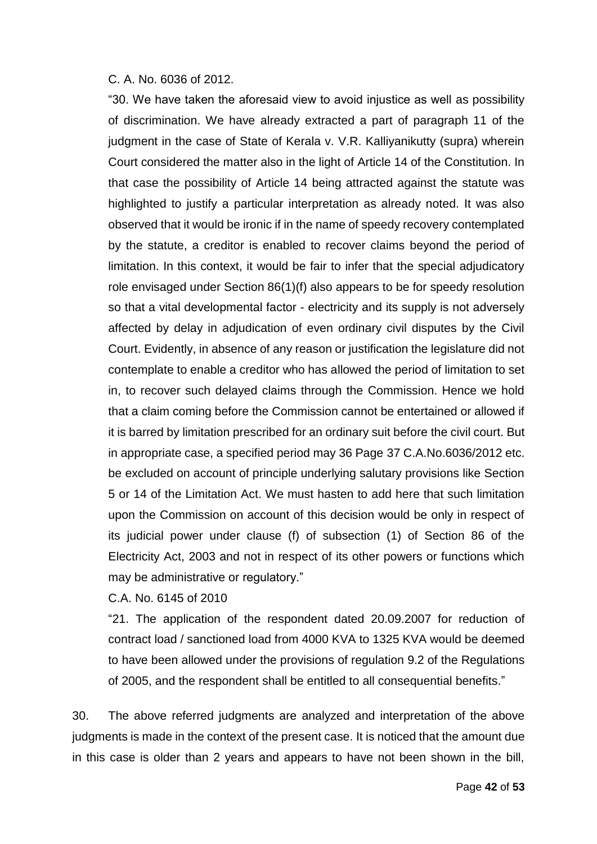#### C. A. No. 6036 of 2012.

"30. We have taken the aforesaid view to avoid injustice as well as possibility of discrimination. We have already extracted a part of paragraph 11 of the judgment in the case of State of Kerala v. V.R. Kalliyanikutty (supra) wherein Court considered the matter also in the light of Article 14 of the Constitution. In that case the possibility of Article 14 being attracted against the statute was highlighted to justify a particular interpretation as already noted. It was also observed that it would be ironic if in the name of speedy recovery contemplated by the statute, a creditor is enabled to recover claims beyond the period of limitation. In this context, it would be fair to infer that the special adjudicatory role envisaged under Section 86(1)(f) also appears to be for speedy resolution so that a vital developmental factor - electricity and its supply is not adversely affected by delay in adjudication of even ordinary civil disputes by the Civil Court. Evidently, in absence of any reason or justification the legislature did not contemplate to enable a creditor who has allowed the period of limitation to set in, to recover such delayed claims through the Commission. Hence we hold that a claim coming before the Commission cannot be entertained or allowed if it is barred by limitation prescribed for an ordinary suit before the civil court. But in appropriate case, a specified period may 36 Page 37 C.A.No.6036/2012 etc. be excluded on account of principle underlying salutary provisions like Section 5 or 14 of the Limitation Act. We must hasten to add here that such limitation upon the Commission on account of this decision would be only in respect of its judicial power under clause (f) of subsection (1) of Section 86 of the Electricity Act, 2003 and not in respect of its other powers or functions which may be administrative or regulatory."

C.A. No. 6145 of 2010

"21. The application of the respondent dated 20.09.2007 for reduction of contract load / sanctioned load from 4000 KVA to 1325 KVA would be deemed to have been allowed under the provisions of regulation 9.2 of the Regulations of 2005, and the respondent shall be entitled to all consequential benefits."

30. The above referred judgments are analyzed and interpretation of the above judgments is made in the context of the present case. It is noticed that the amount due in this case is older than 2 years and appears to have not been shown in the bill,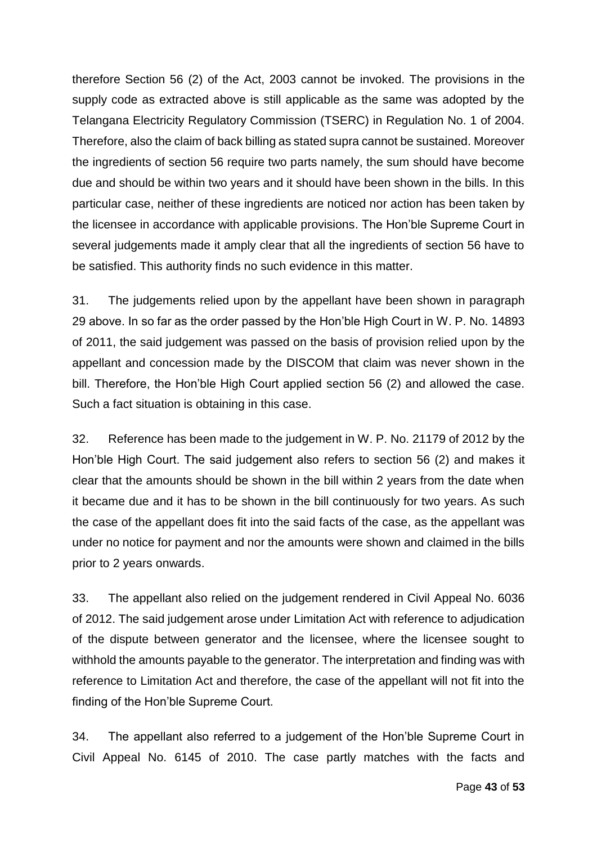therefore Section 56 (2) of the Act, 2003 cannot be invoked. The provisions in the supply code as extracted above is still applicable as the same was adopted by the Telangana Electricity Regulatory Commission (TSERC) in Regulation No. 1 of 2004. Therefore, also the claim of back billing as stated supra cannot be sustained. Moreover the ingredients of section 56 require two parts namely, the sum should have become due and should be within two years and it should have been shown in the bills. In this particular case, neither of these ingredients are noticed nor action has been taken by the licensee in accordance with applicable provisions. The Hon'ble Supreme Court in several judgements made it amply clear that all the ingredients of section 56 have to be satisfied. This authority finds no such evidence in this matter.

31. The judgements relied upon by the appellant have been shown in paragraph 29 above. In so far as the order passed by the Hon'ble High Court in W. P. No. 14893 of 2011, the said judgement was passed on the basis of provision relied upon by the appellant and concession made by the DISCOM that claim was never shown in the bill. Therefore, the Hon'ble High Court applied section 56 (2) and allowed the case. Such a fact situation is obtaining in this case.

32. Reference has been made to the judgement in W. P. No. 21179 of 2012 by the Hon'ble High Court. The said judgement also refers to section 56 (2) and makes it clear that the amounts should be shown in the bill within 2 years from the date when it became due and it has to be shown in the bill continuously for two years. As such the case of the appellant does fit into the said facts of the case, as the appellant was under no notice for payment and nor the amounts were shown and claimed in the bills prior to 2 years onwards.

33. The appellant also relied on the judgement rendered in Civil Appeal No. 6036 of 2012. The said judgement arose under Limitation Act with reference to adjudication of the dispute between generator and the licensee, where the licensee sought to withhold the amounts payable to the generator. The interpretation and finding was with reference to Limitation Act and therefore, the case of the appellant will not fit into the finding of the Hon'ble Supreme Court.

34. The appellant also referred to a judgement of the Hon'ble Supreme Court in Civil Appeal No. 6145 of 2010. The case partly matches with the facts and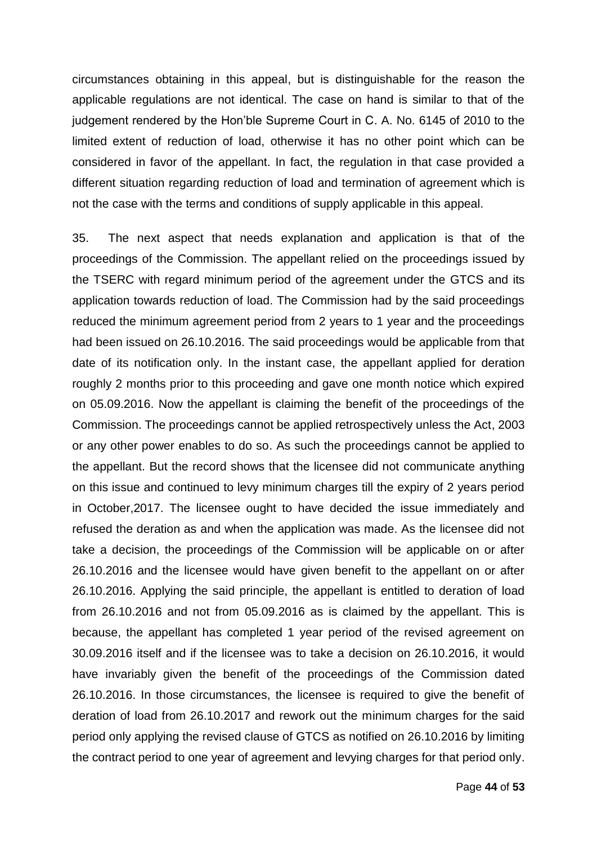circumstances obtaining in this appeal, but is distinguishable for the reason the applicable regulations are not identical. The case on hand is similar to that of the judgement rendered by the Hon'ble Supreme Court in C. A. No. 6145 of 2010 to the limited extent of reduction of load, otherwise it has no other point which can be considered in favor of the appellant. In fact, the regulation in that case provided a different situation regarding reduction of load and termination of agreement which is not the case with the terms and conditions of supply applicable in this appeal.

35. The next aspect that needs explanation and application is that of the proceedings of the Commission. The appellant relied on the proceedings issued by the TSERC with regard minimum period of the agreement under the GTCS and its application towards reduction of load. The Commission had by the said proceedings reduced the minimum agreement period from 2 years to 1 year and the proceedings had been issued on 26.10.2016. The said proceedings would be applicable from that date of its notification only. In the instant case, the appellant applied for deration roughly 2 months prior to this proceeding and gave one month notice which expired on 05.09.2016. Now the appellant is claiming the benefit of the proceedings of the Commission. The proceedings cannot be applied retrospectively unless the Act, 2003 or any other power enables to do so. As such the proceedings cannot be applied to the appellant. But the record shows that the licensee did not communicate anything on this issue and continued to levy minimum charges till the expiry of 2 years period in October,2017. The licensee ought to have decided the issue immediately and refused the deration as and when the application was made. As the licensee did not take a decision, the proceedings of the Commission will be applicable on or after 26.10.2016 and the licensee would have given benefit to the appellant on or after 26.10.2016. Applying the said principle, the appellant is entitled to deration of load from 26.10.2016 and not from 05.09.2016 as is claimed by the appellant. This is because, the appellant has completed 1 year period of the revised agreement on 30.09.2016 itself and if the licensee was to take a decision on 26.10.2016, it would have invariably given the benefit of the proceedings of the Commission dated 26.10.2016. In those circumstances, the licensee is required to give the benefit of deration of load from 26.10.2017 and rework out the minimum charges for the said period only applying the revised clause of GTCS as notified on 26.10.2016 by limiting the contract period to one year of agreement and levying charges for that period only.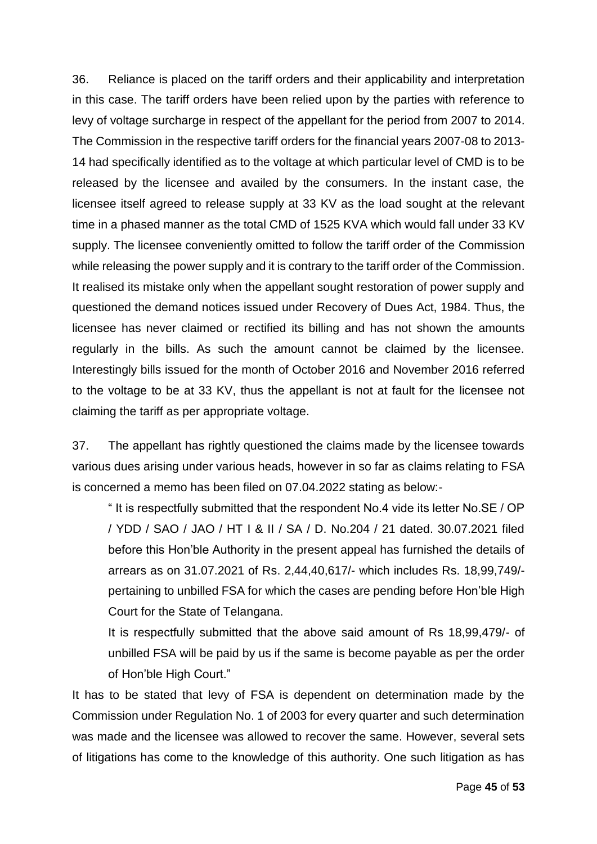36. Reliance is placed on the tariff orders and their applicability and interpretation in this case. The tariff orders have been relied upon by the parties with reference to levy of voltage surcharge in respect of the appellant for the period from 2007 to 2014. The Commission in the respective tariff orders for the financial years 2007-08 to 2013- 14 had specifically identified as to the voltage at which particular level of CMD is to be released by the licensee and availed by the consumers. In the instant case, the licensee itself agreed to release supply at 33 KV as the load sought at the relevant time in a phased manner as the total CMD of 1525 KVA which would fall under 33 KV supply. The licensee conveniently omitted to follow the tariff order of the Commission while releasing the power supply and it is contrary to the tariff order of the Commission. It realised its mistake only when the appellant sought restoration of power supply and questioned the demand notices issued under Recovery of Dues Act, 1984. Thus, the licensee has never claimed or rectified its billing and has not shown the amounts regularly in the bills. As such the amount cannot be claimed by the licensee. Interestingly bills issued for the month of October 2016 and November 2016 referred to the voltage to be at 33 KV, thus the appellant is not at fault for the licensee not claiming the tariff as per appropriate voltage.

37. The appellant has rightly questioned the claims made by the licensee towards various dues arising under various heads, however in so far as claims relating to FSA is concerned a memo has been filed on 07.04.2022 stating as below:-

" It is respectfully submitted that the respondent No.4 vide its letter No.SE / OP / YDD / SAO / JAO / HT I & II / SA / D. No.204 / 21 dated. 30.07.2021 filed before this Hon'ble Authority in the present appeal has furnished the details of arrears as on 31.07.2021 of Rs. 2,44,40,617/- which includes Rs. 18,99,749/ pertaining to unbilled FSA for which the cases are pending before Hon'ble High Court for the State of Telangana.

It is respectfully submitted that the above said amount of Rs 18,99,479/- of unbilled FSA will be paid by us if the same is become payable as per the order of Hon'ble High Court."

It has to be stated that levy of FSA is dependent on determination made by the Commission under Regulation No. 1 of 2003 for every quarter and such determination was made and the licensee was allowed to recover the same. However, several sets of litigations has come to the knowledge of this authority. One such litigation as has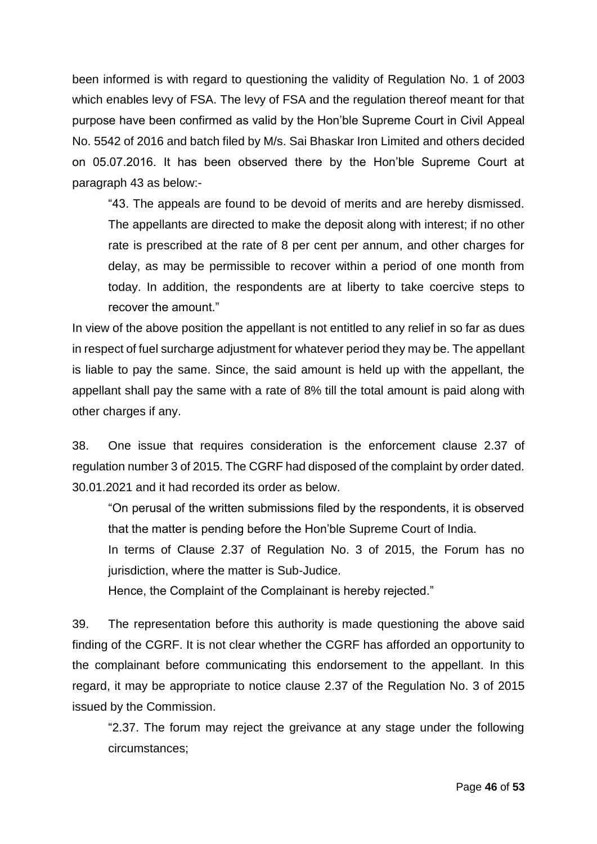been informed is with regard to questioning the validity of Regulation No. 1 of 2003 which enables levy of FSA. The levy of FSA and the regulation thereof meant for that purpose have been confirmed as valid by the Hon'ble Supreme Court in Civil Appeal No. 5542 of 2016 and batch filed by M/s. Sai Bhaskar Iron Limited and others decided on 05.07.2016. It has been observed there by the Hon'ble Supreme Court at paragraph 43 as below:-

"43. The appeals are found to be devoid of merits and are hereby dismissed. The appellants are directed to make the deposit along with interest; if no other rate is prescribed at the rate of 8 per cent per annum, and other charges for delay, as may be permissible to recover within a period of one month from today. In addition, the respondents are at liberty to take coercive steps to recover the amount."

In view of the above position the appellant is not entitled to any relief in so far as dues in respect of fuel surcharge adjustment for whatever period they may be. The appellant is liable to pay the same. Since, the said amount is held up with the appellant, the appellant shall pay the same with a rate of 8% till the total amount is paid along with other charges if any.

38. One issue that requires consideration is the enforcement clause 2.37 of regulation number 3 of 2015. The CGRF had disposed of the complaint by order dated. 30.01.2021 and it had recorded its order as below.

"On perusal of the written submissions filed by the respondents, it is observed that the matter is pending before the Hon'ble Supreme Court of India.

In terms of Clause 2.37 of Regulation No. 3 of 2015, the Forum has no jurisdiction, where the matter is Sub-Judice.

Hence, the Complaint of the Complainant is hereby rejected."

39. The representation before this authority is made questioning the above said finding of the CGRF. It is not clear whether the CGRF has afforded an opportunity to the complainant before communicating this endorsement to the appellant. In this regard, it may be appropriate to notice clause 2.37 of the Regulation No. 3 of 2015 issued by the Commission.

"2.37. The forum may reject the greivance at any stage under the following circumstances;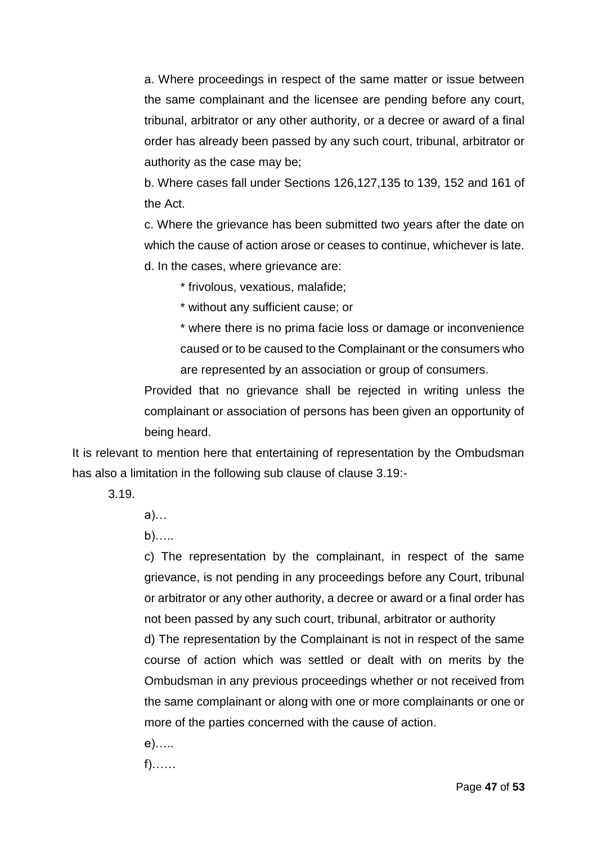a. Where proceedings in respect of the same matter or issue between the same complainant and the licensee are pending before any court, tribunal, arbitrator or any other authority, or a decree or award of a final order has already been passed by any such court, tribunal, arbitrator or authority as the case may be;

b. Where cases fall under Sections 126,127,135 to 139, 152 and 161 of the Act.

c. Where the grievance has been submitted two years after the date on which the cause of action arose or ceases to continue, whichever is late. d. In the cases, where grievance are:

\* frivolous, vexatious, malafide;

\* without any sufficient cause; or

\* where there is no prima facie loss or damage or inconvenience caused or to be caused to the Complainant or the consumers who are represented by an association or group of consumers.

Provided that no grievance shall be rejected in writing unless the complainant or association of persons has been given an opportunity of being heard.

It is relevant to mention here that entertaining of representation by the Ombudsman has also a limitation in the following sub clause of clause 3.19:-

3.19.

a)…

b)…..

c) The representation by the complainant, in respect of the same grievance, is not pending in any proceedings before any Court, tribunal or arbitrator or any other authority, a decree or award or a final order has not been passed by any such court, tribunal, arbitrator or authority d) The representation by the Complainant is not in respect of the same course of action which was settled or dealt with on merits by the Ombudsman in any previous proceedings whether or not received from the same complainant or along with one or more complainants or one or more of the parties concerned with the cause of action.

e)…..

f)……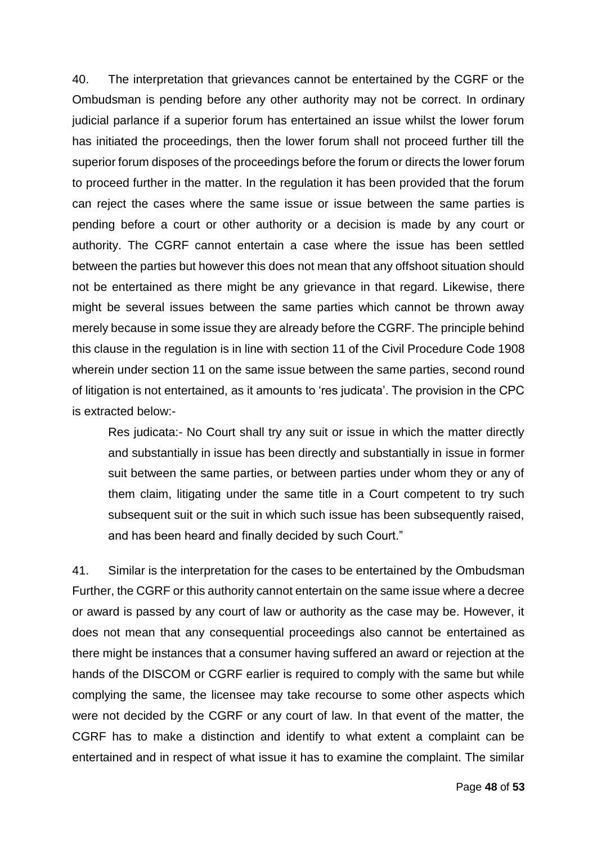40. The interpretation that grievances cannot be entertained by the CGRF or the Ombudsman is pending before any other authority may not be correct. In ordinary judicial parlance if a superior forum has entertained an issue whilst the lower forum has initiated the proceedings, then the lower forum shall not proceed further till the superior forum disposes of the proceedings before the forum or directs the lower forum to proceed further in the matter. In the regulation it has been provided that the forum can reject the cases where the same issue or issue between the same parties is pending before a court or other authority or a decision is made by any court or authority. The CGRF cannot entertain a case where the issue has been settled between the parties but however this does not mean that any offshoot situation should not be entertained as there might be any grievance in that regard. Likewise, there might be several issues between the same parties which cannot be thrown away merely because in some issue they are already before the CGRF. The principle behind this clause in the regulation is in line with section 11 of the Civil Procedure Code 1908 wherein under section 11 on the same issue between the same parties, second round of litigation is not entertained, as it amounts to 'res judicata'. The provision in the CPC is extracted below:-

Res judicata:- No Court shall try any suit or issue in which the matter directly and substantially in issue has been directly and substantially in issue in former suit between the same parties, or between parties under whom they or any of them claim, litigating under the same title in a Court competent to try such subsequent suit or the suit in which such issue has been subsequently raised, and has been heard and finally decided by such Court."

41. Similar is the interpretation for the cases to be entertained by the Ombudsman Further, the CGRF or this authority cannot entertain on the same issue where a decree or award is passed by any court of law or authority as the case may be. However, it does not mean that any consequential proceedings also cannot be entertained as there might be instances that a consumer having suffered an award or rejection at the hands of the DISCOM or CGRF earlier is required to comply with the same but while complying the same, the licensee may take recourse to some other aspects which were not decided by the CGRF or any court of law. In that event of the matter, the CGRF has to make a distinction and identify to what extent a complaint can be entertained and in respect of what issue it has to examine the complaint. The similar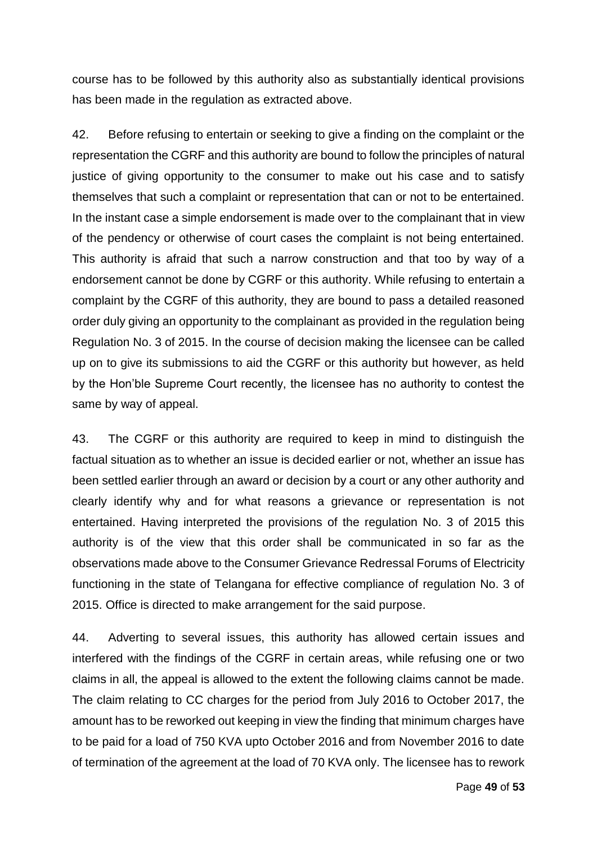course has to be followed by this authority also as substantially identical provisions has been made in the regulation as extracted above.

42. Before refusing to entertain or seeking to give a finding on the complaint or the representation the CGRF and this authority are bound to follow the principles of natural justice of giving opportunity to the consumer to make out his case and to satisfy themselves that such a complaint or representation that can or not to be entertained. In the instant case a simple endorsement is made over to the complainant that in view of the pendency or otherwise of court cases the complaint is not being entertained. This authority is afraid that such a narrow construction and that too by way of a endorsement cannot be done by CGRF or this authority. While refusing to entertain a complaint by the CGRF of this authority, they are bound to pass a detailed reasoned order duly giving an opportunity to the complainant as provided in the regulation being Regulation No. 3 of 2015. In the course of decision making the licensee can be called up on to give its submissions to aid the CGRF or this authority but however, as held by the Hon'ble Supreme Court recently, the licensee has no authority to contest the same by way of appeal.

43. The CGRF or this authority are required to keep in mind to distinguish the factual situation as to whether an issue is decided earlier or not, whether an issue has been settled earlier through an award or decision by a court or any other authority and clearly identify why and for what reasons a grievance or representation is not entertained. Having interpreted the provisions of the regulation No. 3 of 2015 this authority is of the view that this order shall be communicated in so far as the observations made above to the Consumer Grievance Redressal Forums of Electricity functioning in the state of Telangana for effective compliance of regulation No. 3 of 2015. Office is directed to make arrangement for the said purpose.

44. Adverting to several issues, this authority has allowed certain issues and interfered with the findings of the CGRF in certain areas, while refusing one or two claims in all, the appeal is allowed to the extent the following claims cannot be made. The claim relating to CC charges for the period from July 2016 to October 2017, the amount has to be reworked out keeping in view the finding that minimum charges have to be paid for a load of 750 KVA upto October 2016 and from November 2016 to date of termination of the agreement at the load of 70 KVA only. The licensee has to rework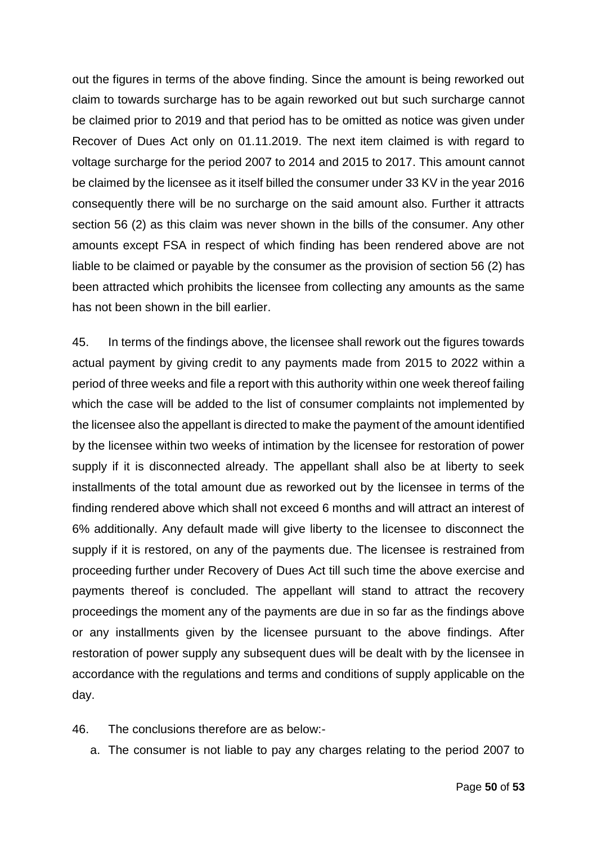out the figures in terms of the above finding. Since the amount is being reworked out claim to towards surcharge has to be again reworked out but such surcharge cannot be claimed prior to 2019 and that period has to be omitted as notice was given under Recover of Dues Act only on 01.11.2019. The next item claimed is with regard to voltage surcharge for the period 2007 to 2014 and 2015 to 2017. This amount cannot be claimed by the licensee as it itself billed the consumer under 33 KV in the year 2016 consequently there will be no surcharge on the said amount also. Further it attracts section 56 (2) as this claim was never shown in the bills of the consumer. Any other amounts except FSA in respect of which finding has been rendered above are not liable to be claimed or payable by the consumer as the provision of section 56 (2) has been attracted which prohibits the licensee from collecting any amounts as the same has not been shown in the bill earlier.

45. In terms of the findings above, the licensee shall rework out the figures towards actual payment by giving credit to any payments made from 2015 to 2022 within a period of three weeks and file a report with this authority within one week thereof failing which the case will be added to the list of consumer complaints not implemented by the licensee also the appellant is directed to make the payment of the amount identified by the licensee within two weeks of intimation by the licensee for restoration of power supply if it is disconnected already. The appellant shall also be at liberty to seek installments of the total amount due as reworked out by the licensee in terms of the finding rendered above which shall not exceed 6 months and will attract an interest of 6% additionally. Any default made will give liberty to the licensee to disconnect the supply if it is restored, on any of the payments due. The licensee is restrained from proceeding further under Recovery of Dues Act till such time the above exercise and payments thereof is concluded. The appellant will stand to attract the recovery proceedings the moment any of the payments are due in so far as the findings above or any installments given by the licensee pursuant to the above findings. After restoration of power supply any subsequent dues will be dealt with by the licensee in accordance with the regulations and terms and conditions of supply applicable on the day.

- 46. The conclusions therefore are as below:
	- a. The consumer is not liable to pay any charges relating to the period 2007 to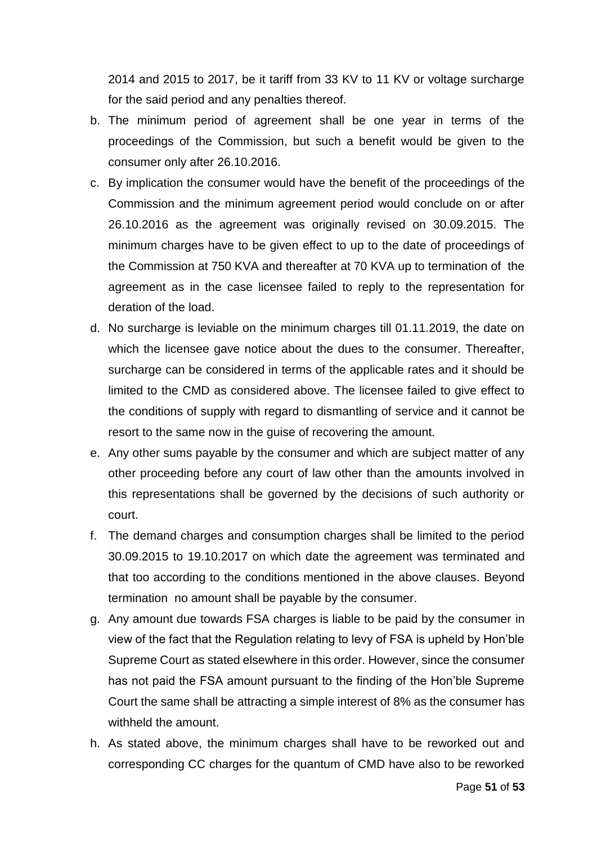2014 and 2015 to 2017, be it tariff from 33 KV to 11 KV or voltage surcharge for the said period and any penalties thereof.

- b. The minimum period of agreement shall be one year in terms of the proceedings of the Commission, but such a benefit would be given to the consumer only after 26.10.2016.
- c. By implication the consumer would have the benefit of the proceedings of the Commission and the minimum agreement period would conclude on or after 26.10.2016 as the agreement was originally revised on 30.09.2015. The minimum charges have to be given effect to up to the date of proceedings of the Commission at 750 KVA and thereafter at 70 KVA up to termination of the agreement as in the case licensee failed to reply to the representation for deration of the load.
- d. No surcharge is leviable on the minimum charges till 01.11.2019, the date on which the licensee gave notice about the dues to the consumer. Thereafter, surcharge can be considered in terms of the applicable rates and it should be limited to the CMD as considered above. The licensee failed to give effect to the conditions of supply with regard to dismantling of service and it cannot be resort to the same now in the guise of recovering the amount.
- e. Any other sums payable by the consumer and which are subject matter of any other proceeding before any court of law other than the amounts involved in this representations shall be governed by the decisions of such authority or court.
- f. The demand charges and consumption charges shall be limited to the period 30.09.2015 to 19.10.2017 on which date the agreement was terminated and that too according to the conditions mentioned in the above clauses. Beyond termination no amount shall be payable by the consumer.
- g. Any amount due towards FSA charges is liable to be paid by the consumer in view of the fact that the Regulation relating to levy of FSA is upheld by Hon'ble Supreme Court as stated elsewhere in this order. However, since the consumer has not paid the FSA amount pursuant to the finding of the Hon'ble Supreme Court the same shall be attracting a simple interest of 8% as the consumer has withheld the amount.
- h. As stated above, the minimum charges shall have to be reworked out and corresponding CC charges for the quantum of CMD have also to be reworked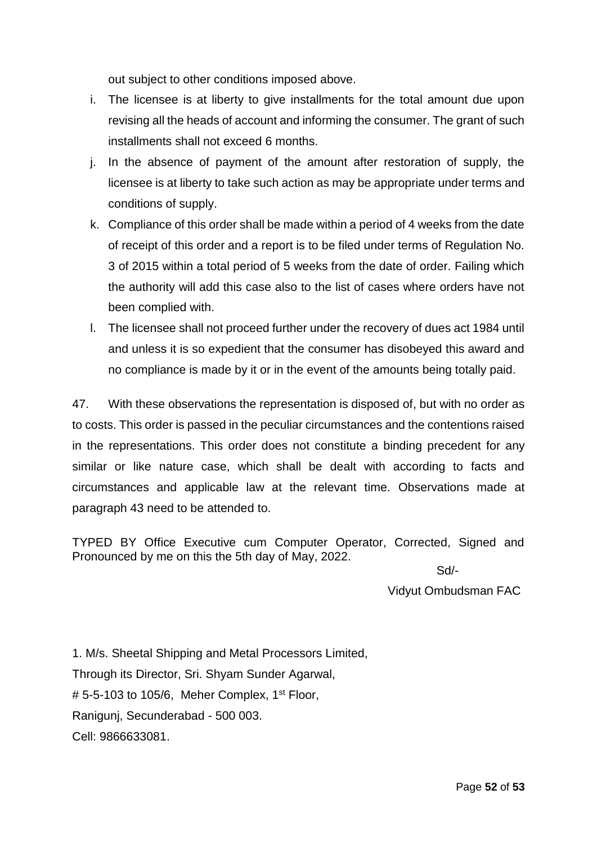out subject to other conditions imposed above.

- i. The licensee is at liberty to give installments for the total amount due upon revising all the heads of account and informing the consumer. The grant of such installments shall not exceed 6 months.
- j. In the absence of payment of the amount after restoration of supply, the licensee is at liberty to take such action as may be appropriate under terms and conditions of supply.
- k. Compliance of this order shall be made within a period of 4 weeks from the date of receipt of this order and a report is to be filed under terms of Regulation No. 3 of 2015 within a total period of 5 weeks from the date of order. Failing which the authority will add this case also to the list of cases where orders have not been complied with.
- l. The licensee shall not proceed further under the recovery of dues act 1984 until and unless it is so expedient that the consumer has disobeyed this award and no compliance is made by it or in the event of the amounts being totally paid.

47. With these observations the representation is disposed of, but with no order as to costs. This order is passed in the peculiar circumstances and the contentions raised in the representations. This order does not constitute a binding precedent for any similar or like nature case, which shall be dealt with according to facts and circumstances and applicable law at the relevant time. Observations made at paragraph 43 need to be attended to.

TYPED BY Office Executive cum Computer Operator, Corrected, Signed and Pronounced by me on this the 5th day of May, 2022.

Sd/-

Vidyut Ombudsman FAC

1. M/s. Sheetal Shipping and Metal Processors Limited, Through its Director, Sri. Shyam Sunder Agarwal, # 5-5-103 to 105/6, Meher Complex,  $1<sup>st</sup>$  Floor, Ranigunj, Secunderabad - 500 003. Cell: 9866633081.